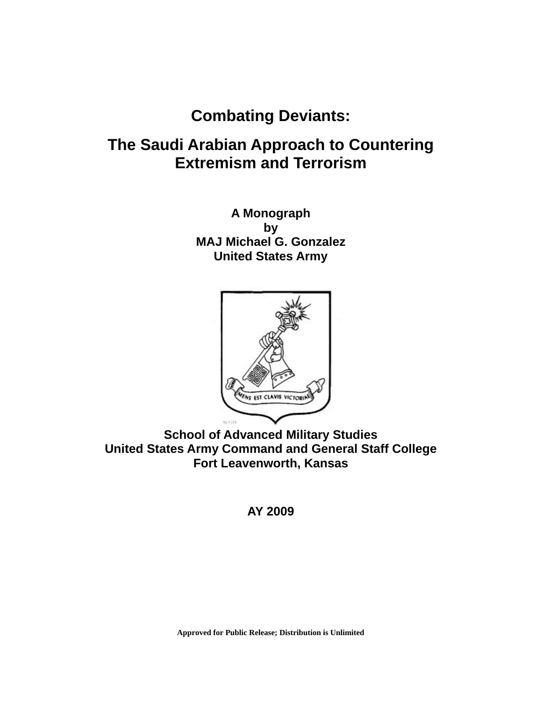# **Combating Deviants:**

# **The Saudi Arabian Approach to Countering Extremism and Terrorism**

**A Monograph by MAJ Michael G. Gonzalez United States Army** 



**School of Advanced Military Studies United States Army Command and General Staff College Fort Leavenworth, Kansas** 

**AY 2009** 

**Approved for Public Release; Distribution is Unlimited**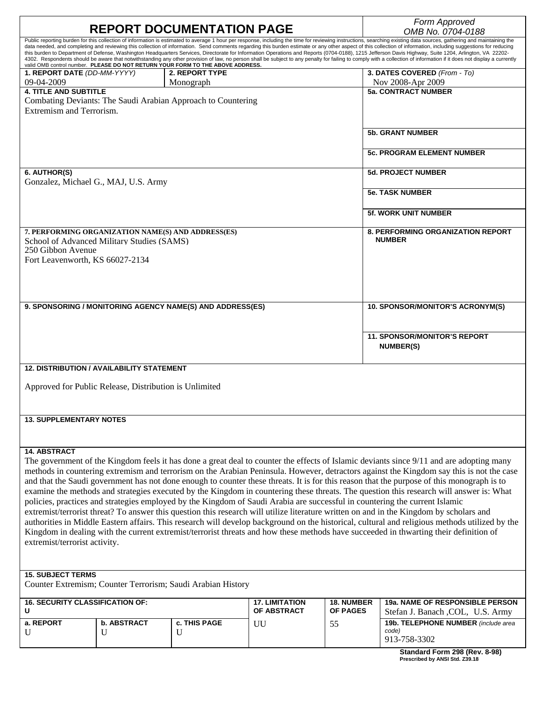| <b>REPORT DOCUMENTATION PAGE</b>                                                                                                                                                                                                                                                                                                                                                                                                                                                                                                                                                                                                                                                                                                                                                                                                                                                                                                                                                               |                                                        |                                                              |                                      |                                      | Form Approved<br>OMB No. 0704-0188                                                                                                         |
|------------------------------------------------------------------------------------------------------------------------------------------------------------------------------------------------------------------------------------------------------------------------------------------------------------------------------------------------------------------------------------------------------------------------------------------------------------------------------------------------------------------------------------------------------------------------------------------------------------------------------------------------------------------------------------------------------------------------------------------------------------------------------------------------------------------------------------------------------------------------------------------------------------------------------------------------------------------------------------------------|--------------------------------------------------------|--------------------------------------------------------------|--------------------------------------|--------------------------------------|--------------------------------------------------------------------------------------------------------------------------------------------|
| Public reporting burden for this collection of information is estimated to average 1 hour per response, including the time for reviewing instructions, searching existing data sources, gathering and maintaining the<br>data needed, and completing and reviewing this collection of information. Send comments regarding this burden estimate or any other aspect of this collection of information, including suggestions for reducing<br>this burden to Department of Defense, Washington Headquarters Services, Directorate for Information Operations and Reports (0704-0188), 1215 Jefferson Davis Highway, Suite 1204, Arlington, VA 22202-<br>4302. Respondents should be aware that notwithstanding any other provision of law, no person shall be subject to any penalty for failing to comply with a collection of information if it does not display a currently<br>valid OMB control number. PLEASE DO NOT RETURN YOUR FORM TO THE ABOVE ADDRESS.<br>1. REPORT DATE (DD-MM-YYYY) |                                                        |                                                              |                                      |                                      |                                                                                                                                            |
|                                                                                                                                                                                                                                                                                                                                                                                                                                                                                                                                                                                                                                                                                                                                                                                                                                                                                                                                                                                                |                                                        |                                                              |                                      |                                      |                                                                                                                                            |
|                                                                                                                                                                                                                                                                                                                                                                                                                                                                                                                                                                                                                                                                                                                                                                                                                                                                                                                                                                                                |                                                        |                                                              |                                      |                                      |                                                                                                                                            |
|                                                                                                                                                                                                                                                                                                                                                                                                                                                                                                                                                                                                                                                                                                                                                                                                                                                                                                                                                                                                |                                                        | <b>2. REPORT TYPE</b>                                        |                                      |                                      | 3. DATES COVERED (From - To)                                                                                                               |
| 09-04-2009                                                                                                                                                                                                                                                                                                                                                                                                                                                                                                                                                                                                                                                                                                                                                                                                                                                                                                                                                                                     |                                                        | Monograph                                                    |                                      |                                      | Nov 2008-Apr 2009                                                                                                                          |
| <b>4. TITLE AND SUBTITLE</b>                                                                                                                                                                                                                                                                                                                                                                                                                                                                                                                                                                                                                                                                                                                                                                                                                                                                                                                                                                   |                                                        |                                                              |                                      |                                      | <b>5a. CONTRACT NUMBER</b>                                                                                                                 |
|                                                                                                                                                                                                                                                                                                                                                                                                                                                                                                                                                                                                                                                                                                                                                                                                                                                                                                                                                                                                |                                                        | Combating Deviants: The Saudi Arabian Approach to Countering |                                      |                                      |                                                                                                                                            |
| Extremism and Terrorism.                                                                                                                                                                                                                                                                                                                                                                                                                                                                                                                                                                                                                                                                                                                                                                                                                                                                                                                                                                       |                                                        |                                                              |                                      |                                      |                                                                                                                                            |
|                                                                                                                                                                                                                                                                                                                                                                                                                                                                                                                                                                                                                                                                                                                                                                                                                                                                                                                                                                                                |                                                        |                                                              |                                      |                                      |                                                                                                                                            |
|                                                                                                                                                                                                                                                                                                                                                                                                                                                                                                                                                                                                                                                                                                                                                                                                                                                                                                                                                                                                |                                                        |                                                              |                                      |                                      | <b>5b. GRANT NUMBER</b>                                                                                                                    |
|                                                                                                                                                                                                                                                                                                                                                                                                                                                                                                                                                                                                                                                                                                                                                                                                                                                                                                                                                                                                |                                                        |                                                              |                                      |                                      |                                                                                                                                            |
|                                                                                                                                                                                                                                                                                                                                                                                                                                                                                                                                                                                                                                                                                                                                                                                                                                                                                                                                                                                                |                                                        |                                                              |                                      |                                      | <b>5c. PROGRAM ELEMENT NUMBER</b>                                                                                                          |
|                                                                                                                                                                                                                                                                                                                                                                                                                                                                                                                                                                                                                                                                                                                                                                                                                                                                                                                                                                                                |                                                        |                                                              |                                      |                                      |                                                                                                                                            |
| 6. AUTHOR(S)                                                                                                                                                                                                                                                                                                                                                                                                                                                                                                                                                                                                                                                                                                                                                                                                                                                                                                                                                                                   | Gonzalez, Michael G., MAJ, U.S. Army                   |                                                              |                                      |                                      | <b>5d. PROJECT NUMBER</b>                                                                                                                  |
|                                                                                                                                                                                                                                                                                                                                                                                                                                                                                                                                                                                                                                                                                                                                                                                                                                                                                                                                                                                                |                                                        |                                                              |                                      |                                      |                                                                                                                                            |
|                                                                                                                                                                                                                                                                                                                                                                                                                                                                                                                                                                                                                                                                                                                                                                                                                                                                                                                                                                                                |                                                        |                                                              |                                      |                                      | <b>5e. TASK NUMBER</b>                                                                                                                     |
|                                                                                                                                                                                                                                                                                                                                                                                                                                                                                                                                                                                                                                                                                                                                                                                                                                                                                                                                                                                                |                                                        |                                                              |                                      |                                      |                                                                                                                                            |
|                                                                                                                                                                                                                                                                                                                                                                                                                                                                                                                                                                                                                                                                                                                                                                                                                                                                                                                                                                                                |                                                        |                                                              |                                      |                                      | <b>5f. WORK UNIT NUMBER</b>                                                                                                                |
|                                                                                                                                                                                                                                                                                                                                                                                                                                                                                                                                                                                                                                                                                                                                                                                                                                                                                                                                                                                                | 7. PERFORMING ORGANIZATION NAME(S) AND ADDRESS(ES)     |                                                              |                                      |                                      | <b>8. PERFORMING ORGANIZATION REPORT</b>                                                                                                   |
|                                                                                                                                                                                                                                                                                                                                                                                                                                                                                                                                                                                                                                                                                                                                                                                                                                                                                                                                                                                                | School of Advanced Military Studies (SAMS)             |                                                              |                                      |                                      | <b>NUMBER</b>                                                                                                                              |
| 250 Gibbon Avenue                                                                                                                                                                                                                                                                                                                                                                                                                                                                                                                                                                                                                                                                                                                                                                                                                                                                                                                                                                              |                                                        |                                                              |                                      |                                      |                                                                                                                                            |
| Fort Leavenworth, KS 66027-2134                                                                                                                                                                                                                                                                                                                                                                                                                                                                                                                                                                                                                                                                                                                                                                                                                                                                                                                                                                |                                                        |                                                              |                                      |                                      |                                                                                                                                            |
|                                                                                                                                                                                                                                                                                                                                                                                                                                                                                                                                                                                                                                                                                                                                                                                                                                                                                                                                                                                                |                                                        |                                                              |                                      |                                      |                                                                                                                                            |
|                                                                                                                                                                                                                                                                                                                                                                                                                                                                                                                                                                                                                                                                                                                                                                                                                                                                                                                                                                                                |                                                        |                                                              |                                      |                                      |                                                                                                                                            |
|                                                                                                                                                                                                                                                                                                                                                                                                                                                                                                                                                                                                                                                                                                                                                                                                                                                                                                                                                                                                |                                                        |                                                              |                                      |                                      |                                                                                                                                            |
|                                                                                                                                                                                                                                                                                                                                                                                                                                                                                                                                                                                                                                                                                                                                                                                                                                                                                                                                                                                                |                                                        |                                                              |                                      |                                      |                                                                                                                                            |
| 9. SPONSORING / MONITORING AGENCY NAME(S) AND ADDRESS(ES)                                                                                                                                                                                                                                                                                                                                                                                                                                                                                                                                                                                                                                                                                                                                                                                                                                                                                                                                      |                                                        |                                                              |                                      | 10. SPONSOR/MONITOR'S ACRONYM(S)     |                                                                                                                                            |
|                                                                                                                                                                                                                                                                                                                                                                                                                                                                                                                                                                                                                                                                                                                                                                                                                                                                                                                                                                                                |                                                        |                                                              |                                      |                                      |                                                                                                                                            |
|                                                                                                                                                                                                                                                                                                                                                                                                                                                                                                                                                                                                                                                                                                                                                                                                                                                                                                                                                                                                |                                                        |                                                              |                                      |                                      |                                                                                                                                            |
|                                                                                                                                                                                                                                                                                                                                                                                                                                                                                                                                                                                                                                                                                                                                                                                                                                                                                                                                                                                                |                                                        |                                                              |                                      | <b>11. SPONSOR/MONITOR'S REPORT</b>  |                                                                                                                                            |
|                                                                                                                                                                                                                                                                                                                                                                                                                                                                                                                                                                                                                                                                                                                                                                                                                                                                                                                                                                                                |                                                        |                                                              |                                      |                                      | <b>NUMBER(S)</b>                                                                                                                           |
|                                                                                                                                                                                                                                                                                                                                                                                                                                                                                                                                                                                                                                                                                                                                                                                                                                                                                                                                                                                                |                                                        |                                                              |                                      |                                      |                                                                                                                                            |
|                                                                                                                                                                                                                                                                                                                                                                                                                                                                                                                                                                                                                                                                                                                                                                                                                                                                                                                                                                                                | <b>12. DISTRIBUTION / AVAILABILITY STATEMENT</b>       |                                                              |                                      |                                      |                                                                                                                                            |
|                                                                                                                                                                                                                                                                                                                                                                                                                                                                                                                                                                                                                                                                                                                                                                                                                                                                                                                                                                                                | Approved for Public Release, Distribution is Unlimited |                                                              |                                      |                                      |                                                                                                                                            |
|                                                                                                                                                                                                                                                                                                                                                                                                                                                                                                                                                                                                                                                                                                                                                                                                                                                                                                                                                                                                |                                                        |                                                              |                                      |                                      |                                                                                                                                            |
|                                                                                                                                                                                                                                                                                                                                                                                                                                                                                                                                                                                                                                                                                                                                                                                                                                                                                                                                                                                                |                                                        |                                                              |                                      |                                      |                                                                                                                                            |
|                                                                                                                                                                                                                                                                                                                                                                                                                                                                                                                                                                                                                                                                                                                                                                                                                                                                                                                                                                                                |                                                        |                                                              |                                      |                                      |                                                                                                                                            |
| <b>13. SUPPLEMENTARY NOTES</b>                                                                                                                                                                                                                                                                                                                                                                                                                                                                                                                                                                                                                                                                                                                                                                                                                                                                                                                                                                 |                                                        |                                                              |                                      |                                      |                                                                                                                                            |
|                                                                                                                                                                                                                                                                                                                                                                                                                                                                                                                                                                                                                                                                                                                                                                                                                                                                                                                                                                                                |                                                        |                                                              |                                      |                                      |                                                                                                                                            |
|                                                                                                                                                                                                                                                                                                                                                                                                                                                                                                                                                                                                                                                                                                                                                                                                                                                                                                                                                                                                |                                                        |                                                              |                                      |                                      |                                                                                                                                            |
| <b>14. ABSTRACT</b>                                                                                                                                                                                                                                                                                                                                                                                                                                                                                                                                                                                                                                                                                                                                                                                                                                                                                                                                                                            |                                                        |                                                              |                                      |                                      |                                                                                                                                            |
| The government of the Kingdom feels it has done a great deal to counter the effects of Islamic deviants since 9/11 and are adopting many                                                                                                                                                                                                                                                                                                                                                                                                                                                                                                                                                                                                                                                                                                                                                                                                                                                       |                                                        |                                                              |                                      |                                      |                                                                                                                                            |
|                                                                                                                                                                                                                                                                                                                                                                                                                                                                                                                                                                                                                                                                                                                                                                                                                                                                                                                                                                                                |                                                        |                                                              |                                      |                                      | methods in countering extremism and terrorism on the Arabian Peninsula. However, detractors against the Kingdom say this is not the case   |
|                                                                                                                                                                                                                                                                                                                                                                                                                                                                                                                                                                                                                                                                                                                                                                                                                                                                                                                                                                                                |                                                        |                                                              |                                      |                                      | and that the Saudi government has not done enough to counter these threats. It is for this reason that the purpose of this monograph is to |
| examine the methods and strategies executed by the Kingdom in countering these threats. The question this research will answer is: What                                                                                                                                                                                                                                                                                                                                                                                                                                                                                                                                                                                                                                                                                                                                                                                                                                                        |                                                        |                                                              |                                      |                                      |                                                                                                                                            |
| policies, practices and strategies employed by the Kingdom of Saudi Arabia are successful in countering the current Islamic                                                                                                                                                                                                                                                                                                                                                                                                                                                                                                                                                                                                                                                                                                                                                                                                                                                                    |                                                        |                                                              |                                      |                                      |                                                                                                                                            |
|                                                                                                                                                                                                                                                                                                                                                                                                                                                                                                                                                                                                                                                                                                                                                                                                                                                                                                                                                                                                |                                                        |                                                              |                                      |                                      | extremist/terrorist threat? To answer this question this research will utilize literature written on and in the Kingdom by scholars and    |
| authorities in Middle Eastern affairs. This research will develop background on the historical, cultural and religious methods utilized by the                                                                                                                                                                                                                                                                                                                                                                                                                                                                                                                                                                                                                                                                                                                                                                                                                                                 |                                                        |                                                              |                                      |                                      |                                                                                                                                            |
| Kingdom in dealing with the current extremist/terrorist threats and how these methods have succeeded in thwarting their definition of                                                                                                                                                                                                                                                                                                                                                                                                                                                                                                                                                                                                                                                                                                                                                                                                                                                          |                                                        |                                                              |                                      |                                      |                                                                                                                                            |
| extremist/terrorist activity.                                                                                                                                                                                                                                                                                                                                                                                                                                                                                                                                                                                                                                                                                                                                                                                                                                                                                                                                                                  |                                                        |                                                              |                                      |                                      |                                                                                                                                            |
|                                                                                                                                                                                                                                                                                                                                                                                                                                                                                                                                                                                                                                                                                                                                                                                                                                                                                                                                                                                                |                                                        |                                                              |                                      |                                      |                                                                                                                                            |
|                                                                                                                                                                                                                                                                                                                                                                                                                                                                                                                                                                                                                                                                                                                                                                                                                                                                                                                                                                                                |                                                        |                                                              |                                      |                                      |                                                                                                                                            |
| <b>15. SUBJECT TERMS</b>                                                                                                                                                                                                                                                                                                                                                                                                                                                                                                                                                                                                                                                                                                                                                                                                                                                                                                                                                                       |                                                        |                                                              |                                      |                                      |                                                                                                                                            |
|                                                                                                                                                                                                                                                                                                                                                                                                                                                                                                                                                                                                                                                                                                                                                                                                                                                                                                                                                                                                |                                                        | Counter Extremism; Counter Terrorism; Saudi Arabian History  |                                      |                                      |                                                                                                                                            |
|                                                                                                                                                                                                                                                                                                                                                                                                                                                                                                                                                                                                                                                                                                                                                                                                                                                                                                                                                                                                |                                                        |                                                              |                                      |                                      |                                                                                                                                            |
| 16. SECURITY CLASSIFICATION OF:<br>U                                                                                                                                                                                                                                                                                                                                                                                                                                                                                                                                                                                                                                                                                                                                                                                                                                                                                                                                                           |                                                        |                                                              | <b>17. LIMITATION</b><br>OF ABSTRACT | <b>18. NUMBER</b><br><b>OF PAGES</b> | 19a. NAME OF RESPONSIBLE PERSON                                                                                                            |
|                                                                                                                                                                                                                                                                                                                                                                                                                                                                                                                                                                                                                                                                                                                                                                                                                                                                                                                                                                                                |                                                        |                                                              |                                      |                                      | Stefan J. Banach , COL, U.S. Army                                                                                                          |
| a. REPORT<br>U                                                                                                                                                                                                                                                                                                                                                                                                                                                                                                                                                                                                                                                                                                                                                                                                                                                                                                                                                                                 | <b>b. ABSTRACT</b><br>U                                | c. THIS PAGE<br>U                                            | UU                                   | 55                                   | 19b. TELEPHONE NUMBER (include area<br>code)                                                                                               |
|                                                                                                                                                                                                                                                                                                                                                                                                                                                                                                                                                                                                                                                                                                                                                                                                                                                                                                                                                                                                |                                                        |                                                              |                                      |                                      | 913-758-3302                                                                                                                               |
|                                                                                                                                                                                                                                                                                                                                                                                                                                                                                                                                                                                                                                                                                                                                                                                                                                                                                                                                                                                                |                                                        |                                                              |                                      |                                      | $C$ tondord Ferm 200 (Dev. 8.08)                                                                                                           |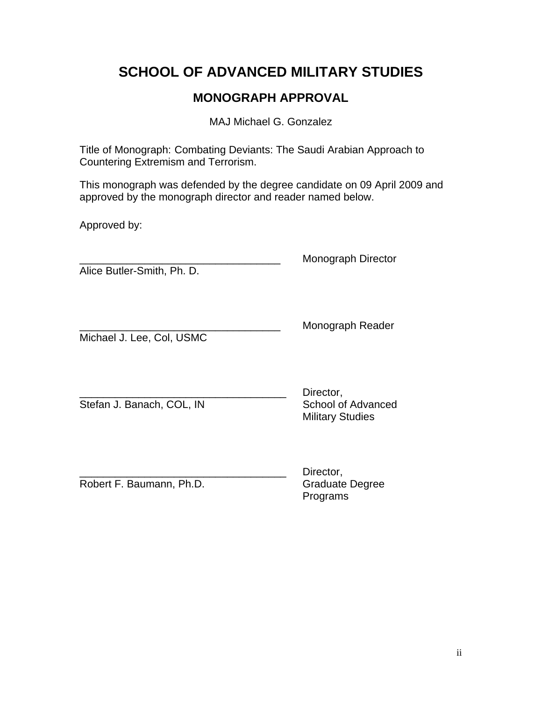## **SCHOOL OF ADVANCED MILITARY STUDIES**

## **MONOGRAPH APPROVAL**

MAJ Michael G. Gonzalez

Title of Monograph: Combating Deviants: The Saudi Arabian Approach to Countering Extremism and Terrorism.

This monograph was defended by the degree candidate on 09 April 2009 and approved by the monograph director and reader named below.

Approved by:

Alice Butler-Smith, Ph. D.

\_\_\_\_\_\_\_\_\_\_\_\_\_\_\_\_\_\_\_\_\_\_\_\_\_\_\_\_\_\_\_\_\_\_ Monograph Director

Michael J. Lee, Col, USMC

Monograph Reader

Stefan J. Banach, COL, IN School of Advanced

Director, Military Studies

Robert F. Baumann, Ph.D. Graduate Degree

Director, Programs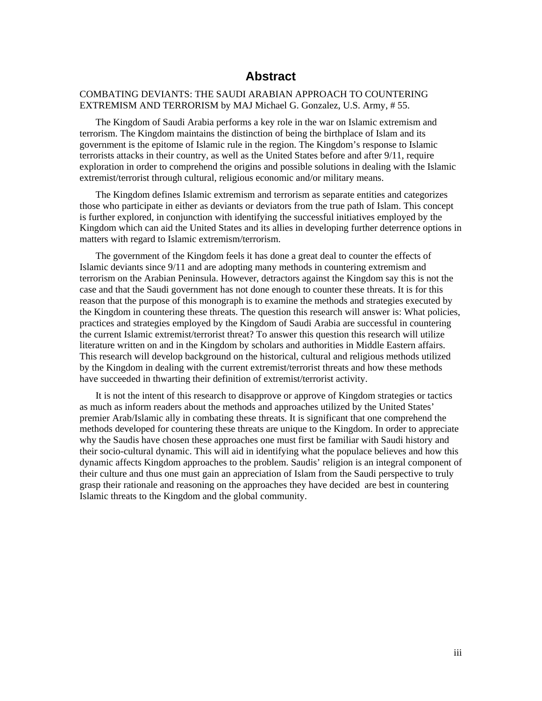### **Abstract**

#### COMBATING DEVIANTS: THE SAUDI ARABIAN APPROACH TO COUNTERING EXTREMISM AND TERRORISM by MAJ Michael G. Gonzalez, U.S. Army, # 55.

The Kingdom of Saudi Arabia performs a key role in the war on Islamic extremism and terrorism. The Kingdom maintains the distinction of being the birthplace of Islam and its government is the epitome of Islamic rule in the region. The Kingdom's response to Islamic terrorists attacks in their country, as well as the United States before and after 9/11, require exploration in order to comprehend the origins and possible solutions in dealing with the Islamic extremist/terrorist through cultural, religious economic and/or military means.

The Kingdom defines Islamic extremism and terrorism as separate entities and categorizes those who participate in either as deviants or deviators from the true path of Islam. This concept is further explored, in conjunction with identifying the successful initiatives employed by the Kingdom which can aid the United States and its allies in developing further deterrence options in matters with regard to Islamic extremism/terrorism.

The government of the Kingdom feels it has done a great deal to counter the effects of Islamic deviants since 9/11 and are adopting many methods in countering extremism and terrorism on the Arabian Peninsula. However, detractors against the Kingdom say this is not the case and that the Saudi government has not done enough to counter these threats. It is for this reason that the purpose of this monograph is to examine the methods and strategies executed by the Kingdom in countering these threats. The question this research will answer is: What policies, practices and strategies employed by the Kingdom of Saudi Arabia are successful in countering the current Islamic extremist/terrorist threat? To answer this question this research will utilize literature written on and in the Kingdom by scholars and authorities in Middle Eastern affairs. This research will develop background on the historical, cultural and religious methods utilized by the Kingdom in dealing with the current extremist/terrorist threats and how these methods have succeeded in thwarting their definition of extremist/terrorist activity.

It is not the intent of this research to disapprove or approve of Kingdom strategies or tactics as much as inform readers about the methods and approaches utilized by the United States' premier Arab/Islamic ally in combating these threats. It is significant that one comprehend the methods developed for countering these threats are unique to the Kingdom. In order to appreciate why the Saudis have chosen these approaches one must first be familiar with Saudi history and their socio-cultural dynamic. This will aid in identifying what the populace believes and how this dynamic affects Kingdom approaches to the problem. Saudis' religion is an integral component of their culture and thus one must gain an appreciation of Islam from the Saudi perspective to truly grasp their rationale and reasoning on the approaches they have decided are best in countering Islamic threats to the Kingdom and the global community.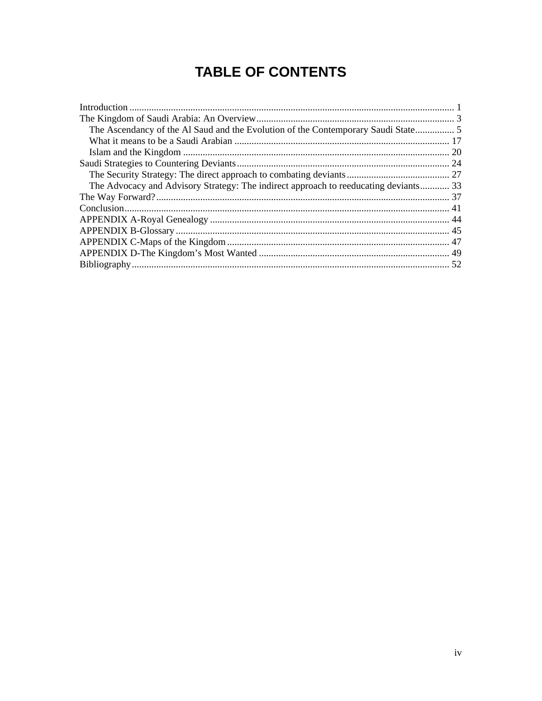# **TABLE OF CONTENTS**

| The Advocacy and Advisory Strategy: The indirect approach to reeducating deviants 33 |
|--------------------------------------------------------------------------------------|
|                                                                                      |
|                                                                                      |
|                                                                                      |
|                                                                                      |
|                                                                                      |
|                                                                                      |
|                                                                                      |
|                                                                                      |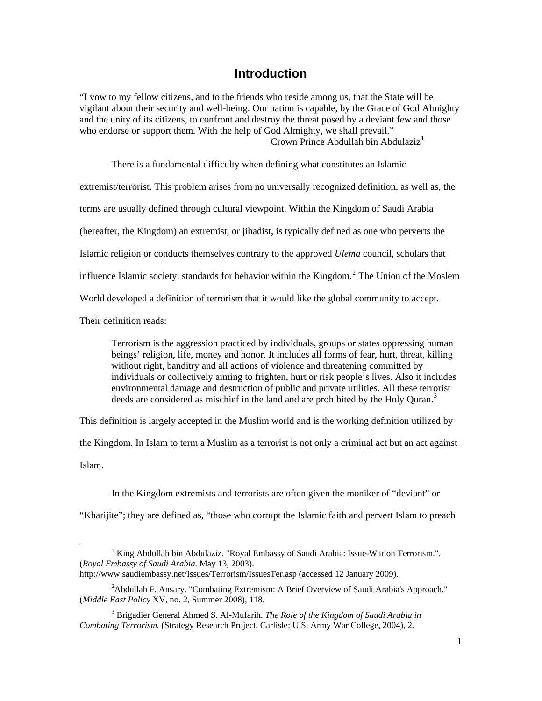### **Introduction**

<span id="page-5-0"></span>"I vow to my fellow citizens, and to the friends who reside among us, that the State will be vigilant about their security and well-being. Our nation is capable, by the Grace of God Almighty and the unity of its citizens, to confront and destroy the threat posed by a deviant few and those who endorse or support them. With the help of God Almighty, we shall prevail." Crown Prince Abdullah bin Abdulaziz<sup>[1](#page-5-1)</sup>

 There is a fundamental difficulty when defining what constitutes an Islamic extremist/terrorist. This problem arises from no universally recognized definition, as well as, the terms are usually defined through cultural viewpoint. Within the Kingdom of Saudi Arabia (hereafter, the Kingdom) an extremist, or jihadist, is typically defined as one who perverts the Islamic religion or conducts themselves contrary to the approved *Ulema* council, scholars that influence Islamic society, standards for behavior within the Kingdom.<sup>[2](#page-5-2)</sup> The Union of the Moslem World developed a definition of terrorism that it would like the global community to accept.

Their definition reads:

Terrorism is the aggression practiced by individuals, groups or states oppressing human beings' religion, life, money and honor. It includes all forms of fear, hurt, threat, killing without right, banditry and all actions of violence and threatening committed by individuals or collectively aiming to frighten, hurt or risk people's lives. Also it includes environmental damage and destruction of public and private utilities. All these terrorist deeds are considered as mischief in the land and are prohibited by the Holy Ouran.<sup>[3](#page-5-3)</sup>

This definition is largely accepted in the Muslim world and is the working definition utilized by

the Kingdom*.* In Islam to term a Muslim as a terrorist is not only a criminal act but an act against

Islam.

-

In the Kingdom extremists and terrorists are often given the moniker of "deviant" or

"Kharijite"; they are defined as, "those who corrupt the Islamic faith and pervert Islam to preach

<span id="page-5-1"></span><sup>&</sup>lt;sup>1</sup> King Abdullah bin Abdulaziz. "Royal Embassy of Saudi Arabia: Issue-War on Terrorism.". (*Royal Embassy of Saudi Arabia.* May 13, 2003).

http://www.saudiembassy.net/Issues/Terrorism/IssuesTer.asp (accessed 12 January 2009).

<span id="page-5-2"></span><sup>&</sup>lt;sup>2</sup> Abdullah F. Ansary. "Combating Extremism: A Brief Overview of Saudi Arabia's Approach." (*Middle East Policy* XV, no. 2, Summer 2008), 118.

<span id="page-5-3"></span><sup>3</sup> Brigadier General Ahmed S. Al-Mufarih. *The Role of the Kingdom of Saudi Arabia in Combating Terrorism.* (Strategy Research Project, Carlisle: U.S. Army War College, 2004), 2.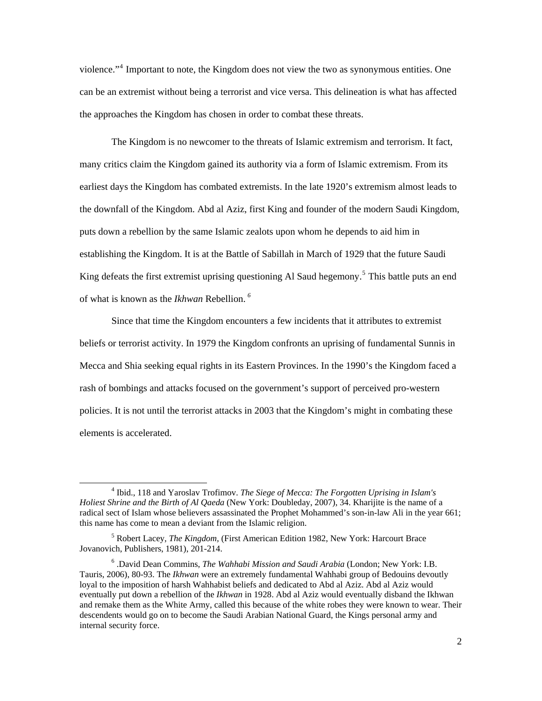violence."<sup>[4](#page-6-0)</sup> Important to note, the Kingdom does not view the two as synonymous entities. One can be an extremist without being a terrorist and vice versa. This delineation is what has affected the approaches the Kingdom has chosen in order to combat these threats.

 The Kingdom is no newcomer to the threats of Islamic extremism and terrorism. It fact, many critics claim the Kingdom gained its authority via a form of Islamic extremism. From its earliest days the Kingdom has combated extremists. In the late 1920's extremism almost leads to the downfall of the Kingdom. Abd al Aziz, first King and founder of the modern Saudi Kingdom, puts down a rebellion by the same Islamic zealots upon whom he depends to aid him in establishing the Kingdom. It is at the Battle of Sabillah in March of 1929 that the future Saudi King defeats the first extremist uprising questioning Al Saud hegemony.<sup>[5](#page-6-1)</sup> This battle puts an end of what is known as the *Ikhwan* Rebellion. *[6](#page-6-2)*

 Since that time the Kingdom encounters a few incidents that it attributes to extremist beliefs or terrorist activity. In 1979 the Kingdom confronts an uprising of fundamental Sunnis in Mecca and Shia seeking equal rights in its Eastern Provinces. In the 1990's the Kingdom faced a rash of bombings and attacks focused on the government's support of perceived pro-western policies. It is not until the terrorist attacks in 2003 that the Kingdom's might in combating these elements is accelerated.

-

<span id="page-6-0"></span><sup>&</sup>lt;sup>4</sup> Ibid., 118 and Yaroslav Trofimov. *The Siege of Mecca: The Forgotten Uprising in Islam's Holiest Shrine and the Birth of Al Qaeda* (New York: Doubleday, 2007), 34. Kharijite is the name of a radical sect of Islam whose believers assassinated the Prophet Mohammed's son-in-law Ali in the year 661; this name has come to mean a deviant from the Islamic religion.

<span id="page-6-1"></span><sup>5</sup> Robert Lacey, *The Kingdom,* (First American Edition 1982, New York: Harcourt Brace Jovanovich, Publishers, 1981), 201-214.

<span id="page-6-2"></span><sup>6</sup> .David Dean Commins, *The Wahhabi Mission and Saudi Arabia* (London; New York: I.B. Tauris, 2006), 80-93. The *Ikhwan* were an extremely fundamental Wahhabi group of Bedouins devoutly loyal to the imposition of harsh Wahhabist beliefs and dedicated to Abd al Aziz. Abd al Aziz would eventually put down a rebellion of the *Ikhwan* in 1928. Abd al Aziz would eventually disband the Ikhwan and remake them as the White Army, called this because of the white robes they were known to wear. Their descendents would go on to become the Saudi Arabian National Guard, the Kings personal army and internal security force.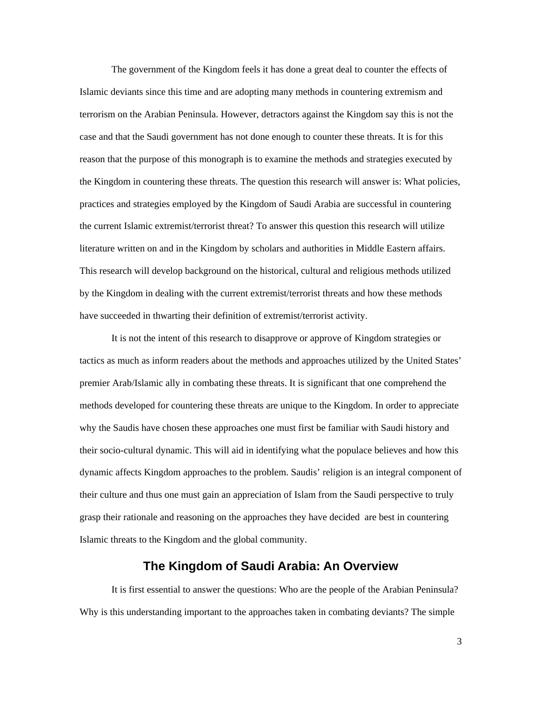<span id="page-7-0"></span> The government of the Kingdom feels it has done a great deal to counter the effects of Islamic deviants since this time and are adopting many methods in countering extremism and terrorism on the Arabian Peninsula. However, detractors against the Kingdom say this is not the case and that the Saudi government has not done enough to counter these threats. It is for this reason that the purpose of this monograph is to examine the methods and strategies executed by the Kingdom in countering these threats. The question this research will answer is: What policies, practices and strategies employed by the Kingdom of Saudi Arabia are successful in countering the current Islamic extremist/terrorist threat? To answer this question this research will utilize literature written on and in the Kingdom by scholars and authorities in Middle Eastern affairs. This research will develop background on the historical, cultural and religious methods utilized by the Kingdom in dealing with the current extremist/terrorist threats and how these methods have succeeded in thwarting their definition of extremist/terrorist activity.

 It is not the intent of this research to disapprove or approve of Kingdom strategies or tactics as much as inform readers about the methods and approaches utilized by the United States' premier Arab/Islamic ally in combating these threats. It is significant that one comprehend the methods developed for countering these threats are unique to the Kingdom. In order to appreciate why the Saudis have chosen these approaches one must first be familiar with Saudi history and their socio-cultural dynamic. This will aid in identifying what the populace believes and how this dynamic affects Kingdom approaches to the problem. Saudis' religion is an integral component of their culture and thus one must gain an appreciation of Islam from the Saudi perspective to truly grasp their rationale and reasoning on the approaches they have decided are best in countering Islamic threats to the Kingdom and the global community.

### **The Kingdom of Saudi Arabia: An Overview**

 It is first essential to answer the questions: Who are the people of the Arabian Peninsula? Why is this understanding important to the approaches taken in combating deviants? The simple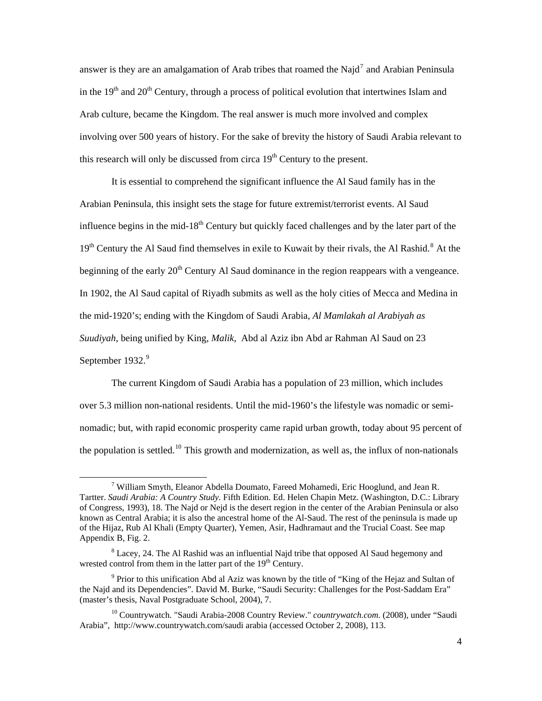answer is they are an amalgamation of Arab tribes that roamed the Najd<sup>[7](#page-8-0)</sup> and Arabian Peninsula in the  $19<sup>th</sup>$  and  $20<sup>th</sup>$  Century, through a process of political evolution that intertwines Islam and Arab culture, became the Kingdom. The real answer is much more involved and complex involving over 500 years of history. For the sake of brevity the history of Saudi Arabia relevant to this research will only be discussed from circa  $19<sup>th</sup>$  Century to the present.

 It is essential to comprehend the significant influence the Al Saud family has in the Arabian Peninsula, this insight sets the stage for future extremist/terrorist events. Al Saud influence begins in the mid-18<sup>th</sup> Century but quickly faced challenges and by the later part of the 19<sup>th</sup> Century the Al Saud find themselves in exile to Kuwait by their rivals, the Al Rashid.<sup>[8](#page-8-1)</sup> At the beginning of the early  $20<sup>th</sup>$  Century Al Saud dominance in the region reappears with a vengeance. In 1902, the Al Saud capital of Riyadh submits as well as the holy cities of Mecca and Medina in the mid-1920's; ending with the Kingdom of Saudi Arabia, *Al Mamlakah al Arabiyah as Suudiyah*, being unified by King*, Malik*, Abd al Aziz ibn Abd ar Rahman Al Saud on 23 September 1[9](#page-8-2)32.<sup>9</sup>

 The current Kingdom of Saudi Arabia has a population of 23 million, which includes over 5.3 million non-national residents. Until the mid-1960's the lifestyle was nomadic or seminomadic; but, with rapid economic prosperity came rapid urban growth, today about 95 percent of the population is settled.<sup>[10](#page-8-3)</sup> This growth and modernization, as well as, the influx of non-nationals

-

<span id="page-8-0"></span><sup>&</sup>lt;sup>7</sup> William Smyth, Eleanor Abdella Doumato, Fareed Mohamedi, Eric Hooglund, and Jean R. Tartter. *Saudi Arabia: A Country Study.* Fifth Edition. Ed. Helen Chapin Metz. (Washington, D.C.: Library of Congress, 1993), 18. The Najd or Nejd is the desert region in the center of the Arabian Peninsula or also known as Central Arabia; it is also the ancestral home of the Al-Saud. The rest of the peninsula is made up of the Hijaz, Rub Al Khali (Empty Quarter), Yemen, Asir, Hadhramaut and the Trucial Coast. See map Appendix B, Fig. 2.

<span id="page-8-1"></span> $8$  Lacey, 24. The Al Rashid was an influential Najd tribe that opposed Al Saud hegemony and wrested control from them in the latter part of the  $19<sup>th</sup>$  Century.

<span id="page-8-2"></span><sup>&</sup>lt;sup>9</sup> Prior to this unification Abd al Aziz was known by the title of "King of the Hejaz and Sultan of the Najd and its Dependencies". David M. Burke, "Saudi Security: Challenges for the Post-Saddam Era" (master's thesis, Naval Postgraduate School, 2004), 7.

<span id="page-8-3"></span><sup>10</sup> Countrywatch. "Saudi Arabia-2008 Country Review." *countrywatch.com.* (2008), under "Saudi Arabia", http://www.countrywatch.com/saudi arabia (accessed October 2, 2008), 113.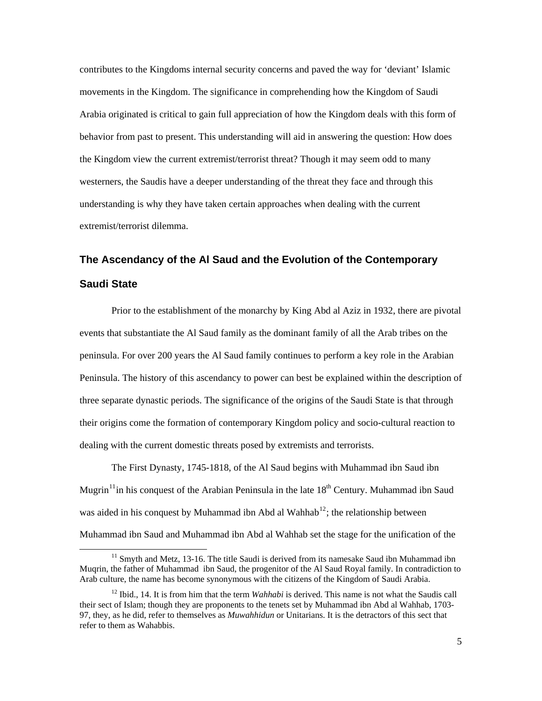<span id="page-9-0"></span>contributes to the Kingdoms internal security concerns and paved the way for 'deviant' Islamic movements in the Kingdom. The significance in comprehending how the Kingdom of Saudi Arabia originated is critical to gain full appreciation of how the Kingdom deals with this form of behavior from past to present. This understanding will aid in answering the question: How does the Kingdom view the current extremist/terrorist threat? Though it may seem odd to many westerners, the Saudis have a deeper understanding of the threat they face and through this understanding is why they have taken certain approaches when dealing with the current extremist/terrorist dilemma.

# **The Ascendancy of the Al Saud and the Evolution of the Contemporary Saudi State**

 Prior to the establishment of the monarchy by King Abd al Aziz in 1932, there are pivotal events that substantiate the Al Saud family as the dominant family of all the Arab tribes on the peninsula. For over 200 years the Al Saud family continues to perform a key role in the Arabian Peninsula. The history of this ascendancy to power can best be explained within the description of three separate dynastic periods. The significance of the origins of the Saudi State is that through their origins come the formation of contemporary Kingdom policy and socio-cultural reaction to dealing with the current domestic threats posed by extremists and terrorists.

 The First Dynasty, 1745-1818, of the Al Saud begins with Muhammad ibn Saud ibn Mugrin<sup>[11](#page-9-1)</sup>in his conquest of the Arabian Peninsula in the late  $18<sup>th</sup>$  Century. Muhammad ibn Saud was aided in his conquest by Muhammad ibn Abd al Wahhab<sup>[12](#page-9-2)</sup>; the relationship between Muhammad ibn Saud and Muhammad ibn Abd al Wahhab set the stage for the unification of the

-

<span id="page-9-1"></span> $11$  Smyth and Metz, 13-16. The title Saudi is derived from its namesake Saud ibn Muhammad ibn Muqrin, the father of Muhammad ibn Saud, the progenitor of the Al Saud Royal family. In contradiction to Arab culture, the name has become synonymous with the citizens of the Kingdom of Saudi Arabia.

<span id="page-9-2"></span><sup>12</sup> Ibid., 14. It is from him that the term *Wahhabi* is derived. This name is not what the Saudis call their sect of Islam; though they are proponents to the tenets set by Muhammad ibn Abd al Wahhab, 1703- 97, they, as he did, refer to themselves as *Muwahhidun* or Unitarians. It is the detractors of this sect that refer to them as Wahabbis.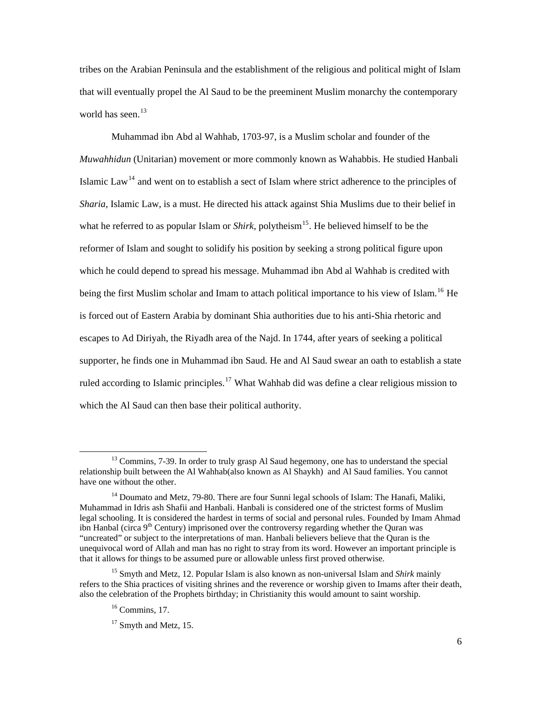tribes on the Arabian Peninsula and the establishment of the religious and political might of Islam that will eventually propel the Al Saud to be the preeminent Muslim monarchy the contemporary world has seen. $13$ 

 Muhammad ibn Abd al Wahhab, 1703-97, is a Muslim scholar and founder of the *Muwahhidun* (Unitarian) movement or more commonly known as Wahabbis. He studied Hanbali Islamic Law<sup>[14](#page-10-1)</sup> and went on to establish a sect of Islam where strict adherence to the principles of *Sharia*, Islamic Law, is a must. He directed his attack against Shia Muslims due to their belief in what he referred to as popular Islam or *Shirk*, polytheism<sup>[15](#page-10-2)</sup>. He believed himself to be the reformer of Islam and sought to solidify his position by seeking a strong political figure upon which he could depend to spread his message. Muhammad ibn Abd al Wahhab is credited with being the first Muslim scholar and Imam to attach political importance to his view of Islam.<sup>[16](#page-10-3)</sup> He is forced out of Eastern Arabia by dominant Shia authorities due to his anti-Shia rhetoric and escapes to Ad Diriyah, the Riyadh area of the Najd. In 1744, after years of seeking a political supporter, he finds one in Muhammad ibn Saud. He and Al Saud swear an oath to establish a state ruled according to Islamic principles.<sup>[17](#page-10-4)</sup> What Wahhab did was define a clear religious mission to which the Al Saud can then base their political authority.

1

<span id="page-10-0"></span> $<sup>13</sup>$  Commins, 7-39. In order to truly grasp Al Saud hegemony, one has to understand the special</sup> relationship built between the Al Wahhab(also known as Al Shaykh) and Al Saud families. You cannot have one without the other.

<span id="page-10-1"></span><sup>&</sup>lt;sup>14</sup> Doumato and Metz, 79-80. There are four Sunni legal schools of Islam: The Hanafi, Maliki, Muhammad in Idris ash Shafii and Hanbali. Hanbali is considered one of the strictest forms of Muslim legal schooling. It is considered the hardest in terms of social and personal rules. Founded by Imam Ahmad ibn Hanbal (circa  $9<sup>th</sup>$  Century) imprisoned over the controversy regarding whether the Ouran was "uncreated" or subject to the interpretations of man. Hanbali believers believe that the Quran is the unequivocal word of Allah and man has no right to stray from its word. However an important principle is that it allows for things to be assumed pure or allowable unless first proved otherwise.

<span id="page-10-4"></span><span id="page-10-3"></span><span id="page-10-2"></span><sup>15</sup> Smyth and Metz, 12. Popular Islam is also known as non-universal Islam and *Shirk* mainly refers to the Shia practices of visiting shrines and the reverence or worship given to Imams after their death, also the celebration of the Prophets birthday; in Christianity this would amount to saint worship.

 $16$  Commins, 17.

 $17$  Smyth and Metz, 15.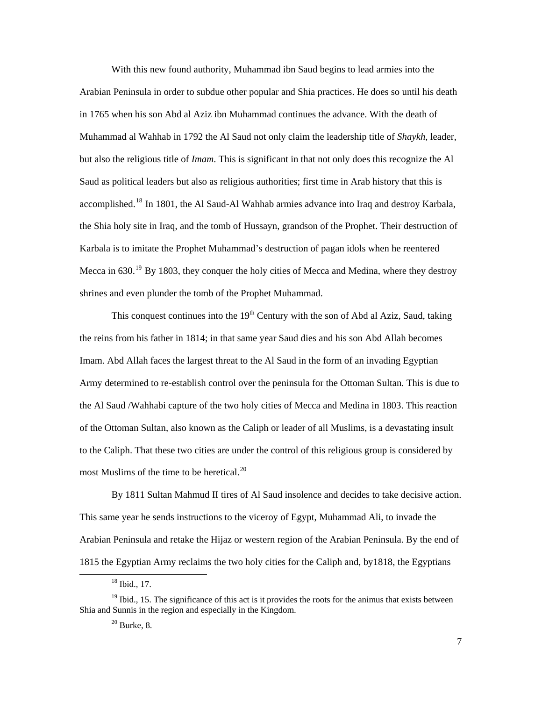With this new found authority, Muhammad ibn Saud begins to lead armies into the Arabian Peninsula in order to subdue other popular and Shia practices. He does so until his death in 1765 when his son Abd al Aziz ibn Muhammad continues the advance. With the death of Muhammad al Wahhab in 1792 the Al Saud not only claim the leadership title of *Shaykh,* leader, but also the religious title of *Imam*. This is significant in that not only does this recognize the Al Saud as political leaders but also as religious authorities; first time in Arab history that this is accomplished.<sup>[18](#page-11-0)</sup> In 1801, the Al Saud-Al Wahhab armies advance into Iraq and destroy Karbala, the Shia holy site in Iraq, and the tomb of Hussayn, grandson of the Prophet. Their destruction of Karbala is to imitate the Prophet Muhammad's destruction of pagan idols when he reentered Mecca in 630.<sup>[19](#page-11-1)</sup> By 1803, they conquer the holy cities of Mecca and Medina, where they destroy shrines and even plunder the tomb of the Prophet Muhammad.

This conquest continues into the  $19<sup>th</sup>$  Century with the son of Abd al Aziz, Saud, taking the reins from his father in 1814; in that same year Saud dies and his son Abd Allah becomes Imam. Abd Allah faces the largest threat to the Al Saud in the form of an invading Egyptian Army determined to re-establish control over the peninsula for the Ottoman Sultan. This is due to the Al Saud /Wahhabi capture of the two holy cities of Mecca and Medina in 1803. This reaction of the Ottoman Sultan, also known as the Caliph or leader of all Muslims, is a devastating insult to the Caliph. That these two cities are under the control of this religious group is considered by most Muslims of the time to be heretical. $^{20}$  $^{20}$  $^{20}$ 

 By 1811 Sultan Mahmud II tires of Al Saud insolence and decides to take decisive action. This same year he sends instructions to the viceroy of Egypt, Muhammad Ali, to invade the Arabian Peninsula and retake the Hijaz or western region of the Arabian Peninsula. By the end of 1815 the Egyptian Army reclaims the two holy cities for the Caliph and, by1818, the Egyptians

-

<sup>18</sup> Ibid., 17.

<span id="page-11-2"></span><span id="page-11-1"></span><span id="page-11-0"></span> $19$  Ibid., 15. The significance of this act is it provides the roots for the animus that exists between Shia and Sunnis in the region and especially in the Kingdom.

 $20$  Burke, 8.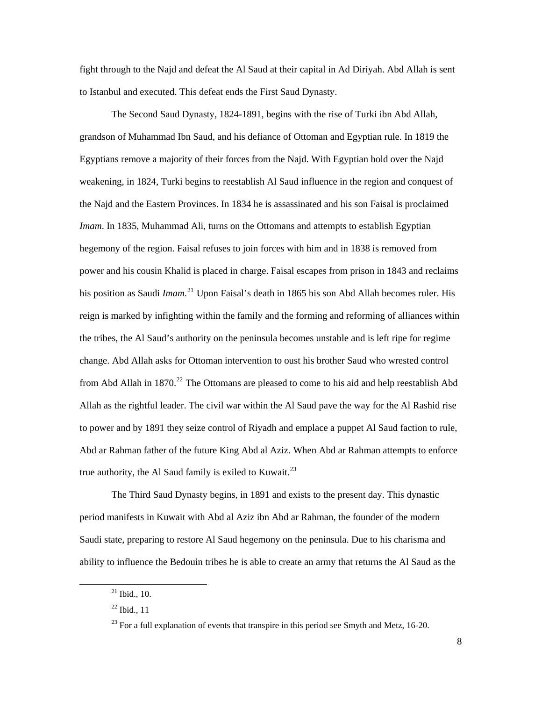fight through to the Najd and defeat the Al Saud at their capital in Ad Diriyah. Abd Allah is sent to Istanbul and executed. This defeat ends the First Saud Dynasty.

 The Second Saud Dynasty, 1824-1891, begins with the rise of Turki ibn Abd Allah, grandson of Muhammad Ibn Saud, and his defiance of Ottoman and Egyptian rule. In 1819 the Egyptians remove a majority of their forces from the Najd. With Egyptian hold over the Najd weakening, in 1824, Turki begins to reestablish Al Saud influence in the region and conquest of the Najd and the Eastern Provinces. In 1834 he is assassinated and his son Faisal is proclaimed *Imam*. In 1835, Muhammad Ali, turns on the Ottomans and attempts to establish Egyptian hegemony of the region. Faisal refuses to join forces with him and in 1838 is removed from power and his cousin Khalid is placed in charge. Faisal escapes from prison in 1843 and reclaims his position as Saudi *Imam*. [21](#page-12-0) Upon Faisal's death in 1865 his son Abd Allah becomes ruler. His reign is marked by infighting within the family and the forming and reforming of alliances within the tribes, the Al Saud's authority on the peninsula becomes unstable and is left ripe for regime change. Abd Allah asks for Ottoman intervention to oust his brother Saud who wrested control from Abd Allah in  $1870.<sup>22</sup>$  $1870.<sup>22</sup>$  $1870.<sup>22</sup>$  The Ottomans are pleased to come to his aid and help reestablish Abd Allah as the rightful leader. The civil war within the Al Saud pave the way for the Al Rashid rise to power and by 1891 they seize control of Riyadh and emplace a puppet Al Saud faction to rule, Abd ar Rahman father of the future King Abd al Aziz. When Abd ar Rahman attempts to enforce true authority, the Al Saud family is exiled to Kuwait.<sup>[23](#page-12-2)</sup>

 The Third Saud Dynasty begins, in 1891 and exists to the present day. This dynastic period manifests in Kuwait with Abd al Aziz ibn Abd ar Rahman, the founder of the modern Saudi state, preparing to restore Al Saud hegemony on the peninsula. Due to his charisma and ability to influence the Bedouin tribes he is able to create an army that returns the Al Saud as the

<span id="page-12-2"></span><span id="page-12-1"></span><span id="page-12-0"></span>1

<sup>21</sup> Ibid., 10.

 $22$  Ibid., 11

 $^{23}$  For a full explanation of events that transpire in this period see Smyth and Metz, 16-20.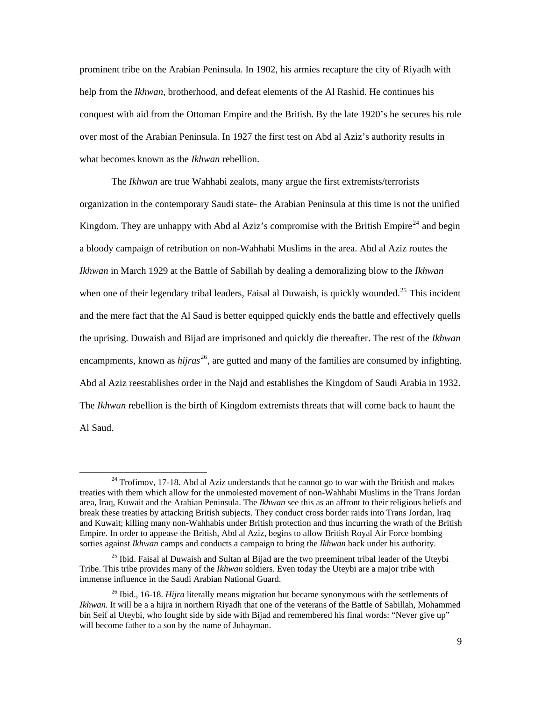prominent tribe on the Arabian Peninsula. In 1902, his armies recapture the city of Riyadh with help from the *Ikhwan*, brotherhood, and defeat elements of the Al Rashid. He continues his conquest with aid from the Ottoman Empire and the British. By the late 1920's he secures his rule over most of the Arabian Peninsula. In 1927 the first test on Abd al Aziz's authority results in what becomes known as the *Ikhwan* rebellion.

The *Ikhwan* are true Wahhabi zealots, many argue the first extremists/terrorists organization in the contemporary Saudi state- the Arabian Peninsula at this time is not the unified Kingdom. They are unhappy with Abd al Aziz's compromise with the British Empire<sup>[24](#page-13-0)</sup> and begin a bloody campaign of retribution on non-Wahhabi Muslims in the area. Abd al Aziz routes the *Ikhwan* in March 1929 at the Battle of Sabillah by dealing a demoralizing blow to the *Ikhwan* when one of their legendary tribal leaders, Faisal al Duwaish, is quickly wounded.<sup>[25](#page-13-1)</sup> This incident and the mere fact that the Al Saud is better equipped quickly ends the battle and effectively quells the uprising. Duwaish and Bijad are imprisoned and quickly die thereafter. The rest of the *Ikhwan* encampments, known as *hijras*<sup>[26](#page-13-2)</sup>, are gutted and many of the families are consumed by infighting. Abd al Aziz reestablishes order in the Najd and establishes the Kingdom of Saudi Arabia in 1932. The *Ikhwan* rebellion is the birth of Kingdom extremists threats that will come back to haunt the Al Saud.

1

<span id="page-13-0"></span> $24$  Trofimov, 17-18. Abd al Aziz understands that he cannot go to war with the British and makes treaties with them which allow for the unmolested movement of non-Wahhabi Muslims in the Trans Jordan area, Iraq, Kuwait and the Arabian Peninsula. The *Ikhwan* see this as an affront to their religious beliefs and break these treaties by attacking British subjects. They conduct cross border raids into Trans Jordan, Iraq and Kuwait; killing many non-Wahhabis under British protection and thus incurring the wrath of the British Empire. In order to appease the British, Abd al Aziz, begins to allow British Royal Air Force bombing sorties against *Ikhwan* camps and conducts a campaign to bring the *Ikhwan* back under his authority.

<span id="page-13-1"></span> $25$  Ibid. Faisal al Duwaish and Sultan al Bijad are the two preeminent tribal leader of the Uteybi Tribe. This tribe provides many of the *Ikhwan* soldiers. Even today the Uteybi are a major tribe with immense influence in the Saudi Arabian National Guard.

<span id="page-13-2"></span><sup>&</sup>lt;sup>26</sup> Ibid., 16-18. *Hijra* literally means migration but became synonymous with the settlements of *Ikhwan.* It will be a a hijra in northern Riyadh that one of the veterans of the Battle of Sabillah, Mohammed bin Seif al Uteybi, who fought side by side with Bijad and remembered his final words: "Never give up" will become father to a son by the name of Juhayman.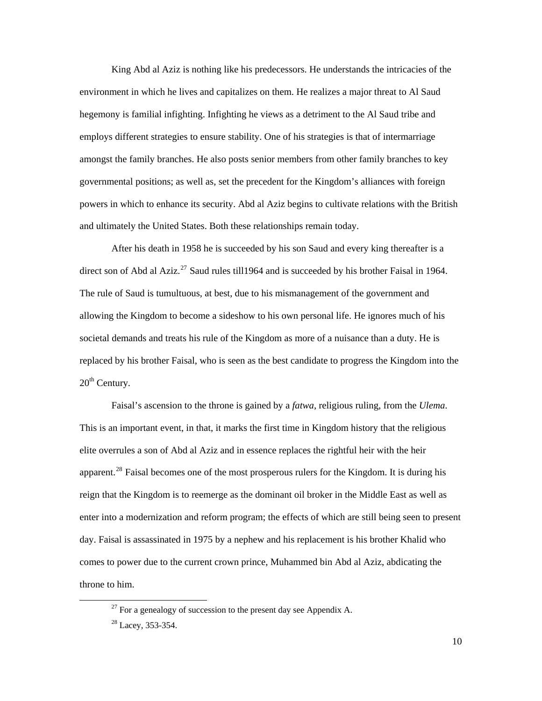King Abd al Aziz is nothing like his predecessors. He understands the intricacies of the environment in which he lives and capitalizes on them. He realizes a major threat to Al Saud hegemony is familial infighting. Infighting he views as a detriment to the Al Saud tribe and employs different strategies to ensure stability. One of his strategies is that of intermarriage amongst the family branches. He also posts senior members from other family branches to key governmental positions; as well as, set the precedent for the Kingdom's alliances with foreign powers in which to enhance its security. Abd al Aziz begins to cultivate relations with the British and ultimately the United States. Both these relationships remain today.

 After his death in 1958 he is succeeded by his son Saud and every king thereafter is a direct son of Abd al Aziz.<sup>[27](#page-14-0)</sup> Saud rules till 1964 and is succeeded by his brother Faisal in 1964. The rule of Saud is tumultuous, at best, due to his mismanagement of the government and allowing the Kingdom to become a sideshow to his own personal life. He ignores much of his societal demands and treats his rule of the Kingdom as more of a nuisance than a duty. He is replaced by his brother Faisal, who is seen as the best candidate to progress the Kingdom into the  $20<sup>th</sup>$  Century.

 Faisal's ascension to the throne is gained by a *fatwa*, religious ruling, from the *Ulema*. This is an important event, in that, it marks the first time in Kingdom history that the religious elite overrules a son of Abd al Aziz and in essence replaces the rightful heir with the heir apparent.<sup>[28](#page-14-1)</sup> Faisal becomes one of the most prosperous rulers for the Kingdom. It is during his reign that the Kingdom is to reemerge as the dominant oil broker in the Middle East as well as enter into a modernization and reform program; the effects of which are still being seen to present day. Faisal is assassinated in 1975 by a nephew and his replacement is his brother Khalid who comes to power due to the current crown prince, Muhammed bin Abd al Aziz, abdicating the throne to him.

<span id="page-14-0"></span> $^{27}$  For a genealogy of succession to the present day see Appendix A.

<span id="page-14-1"></span><sup>&</sup>lt;sup>28</sup> Lacey, 353-354.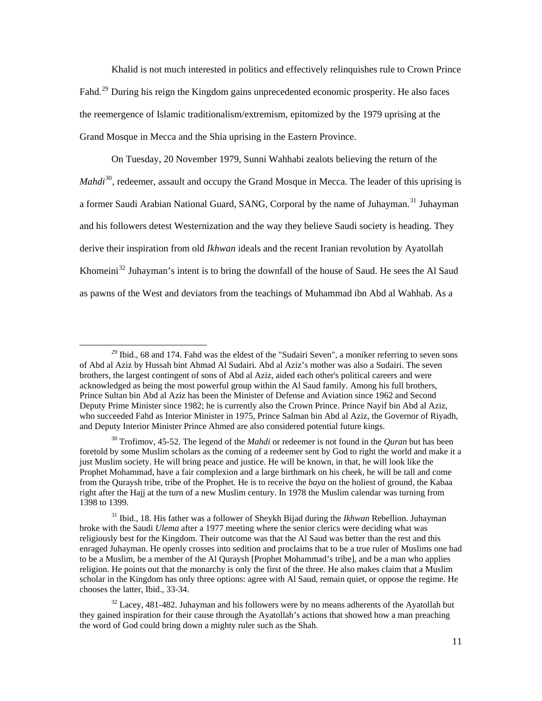Khalid is not much interested in politics and effectively relinquishes rule to Crown Prince Fahd.<sup>[29](#page-15-0)</sup> During his reign the Kingdom gains unprecedented economic prosperity. He also faces the reemergence of Islamic traditionalism/extremism, epitomized by the 1979 uprising at the Grand Mosque in Mecca and the Shia uprising in the Eastern Province.

On Tuesday, 20 November 1979, Sunni Wahhabi zealots believing the return of the *Mahdi*<sup>[30](#page-15-1)</sup>, redeemer, assault and occupy the Grand Mosque in Mecca. The leader of this uprising is a former Saudi Arabian National Guard, SANG, Corporal by the name of Juhayman.<sup>[31](#page-15-2)</sup> Juhayman and his followers detest Westernization and the way they believe Saudi society is heading. They derive their inspiration from old *Ikhwan* ideals and the recent Iranian revolution by Ayatollah Khomeini<sup>[32](#page-15-3)</sup> Juhayman's intent is to bring the downfall of the house of Saud. He sees the Al Saud as pawns of the West and deviators from the teachings of Muhammad ibn Abd al Wahhab. As a

<span id="page-15-0"></span> $29$  Ibid., 68 and 174. Fahd was the eldest of the "Sudairi Seven", a moniker referring to seven sons of Abd al Aziz by Hussah bint Ahmad Al Sudairi. Abd al Aziz's mother was also a Sudairi. The seven brothers, the largest contingent of sons of Abd al Aziz, aided each other's political careers and were acknowledged as being the most powerful group within the Al Saud family. Among his full brothers, Prince Sultan bin Abd al Aziz has been the Minister of Defense and Aviation since 1962 and Second Deputy Prime Minister since 1982; he is currently also the Crown Prince. Prince Nayif bin Abd al Aziz, who succeeded Fahd as Interior Minister in 1975, Prince Salman bin Abd al Aziz, the Governor of Riyadh, and Deputy Interior Minister Prince Ahmed are also considered potential future kings.

<span id="page-15-1"></span><sup>30</sup> Trofimov, 45-52. The legend of the *Mahdi* or redeemer is not found in the *Quran* but has been foretold by some Muslim scholars as the coming of a redeemer sent by God to right the world and make it a just Muslim society. He will bring peace and justice. He will be known, in that, he will look like the Prophet Mohammad, have a fair complexion and a large birthmark on his cheek, he will be tall and come from the Quraysh tribe, tribe of the Prophet. He is to receive the *baya* on the holiest of ground, the Kabaa right after the Hajj at the turn of a new Muslim century. In 1978 the Muslim calendar was turning from 1398 to 1399.

<span id="page-15-2"></span><sup>31</sup> Ibid., 18. His father was a follower of Sheykh Bijad during the *Ikhwan* Rebellion. Juhayman broke with the Saudi *Ulema* after a 1977 meeting where the senior clerics were deciding what was religiously best for the Kingdom. Their outcome was that the Al Saud was better than the rest and this enraged Juhayman. He openly crosses into sedition and proclaims that to be a true ruler of Muslims one had to be a Muslim, be a member of the Al Quraysh [Prophet Mohammad's tribe], and be a man who applies religion. He points out that the monarchy is only the first of the three. He also makes claim that a Muslim scholar in the Kingdom has only three options: agree with Al Saud, remain quiet, or oppose the regime. He chooses the latter, Ibid., 33-34.

<span id="page-15-3"></span> $32$  Lacey, 481-482. Juhayman and his followers were by no means adherents of the Ayatollah but they gained inspiration for their cause through the Ayatollah's actions that showed how a man preaching the word of God could bring down a mighty ruler such as the Shah.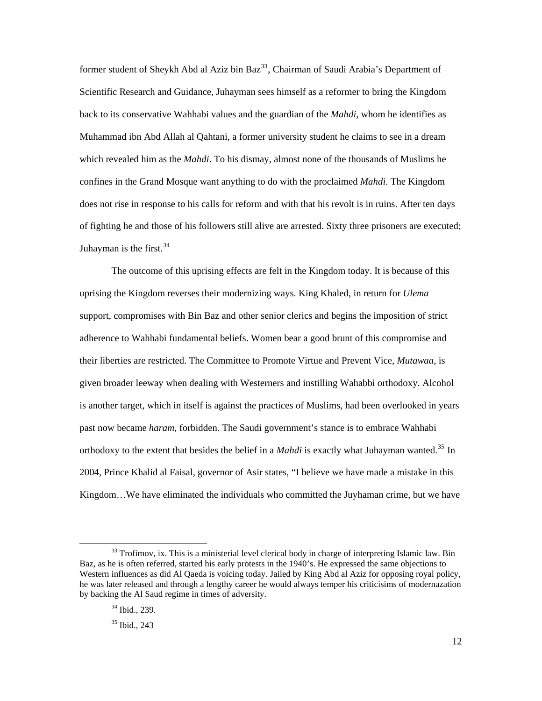former student of Sheykh Abd al Aziz bin Baz<sup>[33](#page-16-0)</sup>, Chairman of Saudi Arabia's Department of Scientific Research and Guidance, Juhayman sees himself as a reformer to bring the Kingdom back to its conservative Wahhabi values and the guardian of the *Mahdi*, whom he identifies as Muhammad ibn Abd Allah al Qahtani, a former university student he claims to see in a dream which revealed him as the *Mahdi*. To his dismay, almost none of the thousands of Muslims he confines in the Grand Mosque want anything to do with the proclaimed *Mahdi*. The Kingdom does not rise in response to his calls for reform and with that his revolt is in ruins. After ten days of fighting he and those of his followers still alive are arrested. Sixty three prisoners are executed; Juhayman is the first.  $34$ 

The outcome of this uprising effects are felt in the Kingdom today. It is because of this uprising the Kingdom reverses their modernizing ways. King Khaled, in return for *Ulema* support, compromises with Bin Baz and other senior clerics and begins the imposition of strict adherence to Wahhabi fundamental beliefs. Women bear a good brunt of this compromise and their liberties are restricted. The Committee to Promote Virtue and Prevent Vice, *Mutawaa*, is given broader leeway when dealing with Westerners and instilling Wahabbi orthodoxy. Alcohol is another target, which in itself is against the practices of Muslims, had been overlooked in years past now became *haram*, forbidden. The Saudi government's stance is to embrace Wahhabi orthodoxy to the extent that besides the belief in a *Mahdi* is exactly what Juhayman wanted.<sup>[35](#page-16-2)</sup> In 2004, Prince Khalid al Faisal, governor of Asir states, "I believe we have made a mistake in this Kingdom…We have eliminated the individuals who committed the Juyhaman crime, but we have

<span id="page-16-2"></span><span id="page-16-1"></span><span id="page-16-0"></span> $33$  Trofimov, ix. This is a ministerial level clerical body in charge of interpreting Islamic law. Bin Baz, as he is often referred, started his early protests in the 1940's. He expressed the same objections to Western influences as did Al Qaeda is voicing today. Jailed by King Abd al Aziz for opposing royal policy, he was later released and through a lengthy career he would always temper his criticisims of modernazation by backing the Al Saud regime in times of adversity.

<sup>34</sup> Ibid., 239.

 $35$  Ibid., 243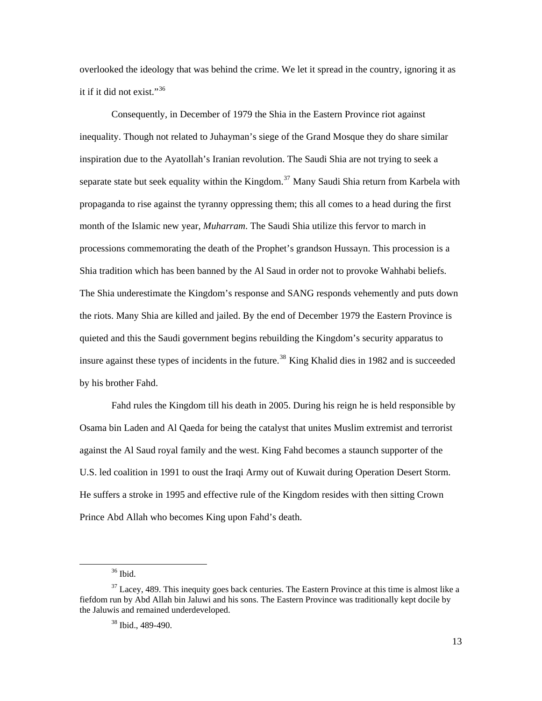overlooked the ideology that was behind the crime. We let it spread in the country, ignoring it as it if it did not exist."<sup>[36](#page-17-0)</sup>

Consequently, in December of 1979 the Shia in the Eastern Province riot against inequality. Though not related to Juhayman's siege of the Grand Mosque they do share similar inspiration due to the Ayatollah's Iranian revolution. The Saudi Shia are not trying to seek a separate state but seek equality within the Kingdom.<sup>[37](#page-17-1)</sup> Many Saudi Shia return from Karbela with propaganda to rise against the tyranny oppressing them; this all comes to a head during the first month of the Islamic new year, *Muharram*. The Saudi Shia utilize this fervor to march in processions commemorating the death of the Prophet's grandson Hussayn. This procession is a Shia tradition which has been banned by the Al Saud in order not to provoke Wahhabi beliefs. The Shia underestimate the Kingdom's response and SANG responds vehemently and puts down the riots. Many Shia are killed and jailed. By the end of December 1979 the Eastern Province is quieted and this the Saudi government begins rebuilding the Kingdom's security apparatus to insure against these types of incidents in the future.<sup>[38](#page-17-2)</sup> King Khalid dies in 1982 and is succeeded by his brother Fahd.

 Fahd rules the Kingdom till his death in 2005. During his reign he is held responsible by Osama bin Laden and Al Qaeda for being the catalyst that unites Muslim extremist and terrorist against the Al Saud royal family and the west. King Fahd becomes a staunch supporter of the U.S. led coalition in 1991 to oust the Iraqi Army out of Kuwait during Operation Desert Storm. He suffers a stroke in 1995 and effective rule of the Kingdom resides with then sitting Crown Prince Abd Allah who becomes King upon Fahd's death.

<sup>36</sup> Ibid.

<span id="page-17-2"></span><span id="page-17-1"></span><span id="page-17-0"></span> $37$  Lacey, 489. This inequity goes back centuries. The Eastern Province at this time is almost like a fiefdom run by Abd Allah bin Jaluwi and his sons. The Eastern Province was traditionally kept docile by the Jaluwis and remained underdeveloped.

<sup>38</sup> Ibid., 489-490.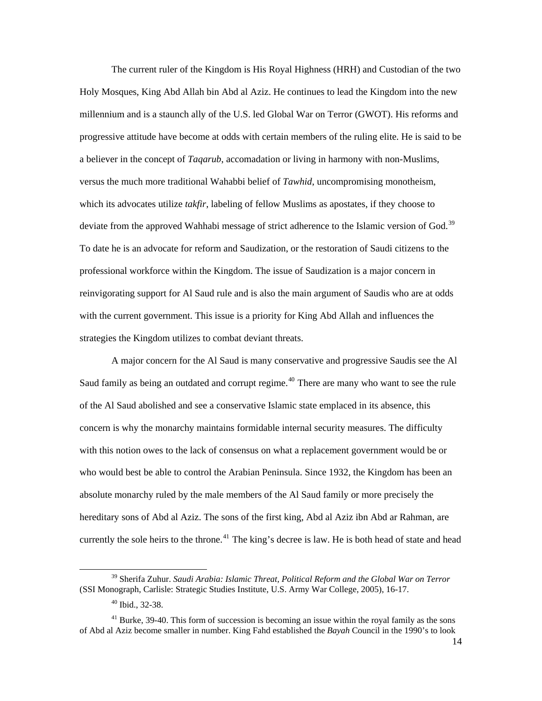The current ruler of the Kingdom is His Royal Highness (HRH) and Custodian of the two Holy Mosques, King Abd Allah bin Abd al Aziz. He continues to lead the Kingdom into the new millennium and is a staunch ally of the U.S. led Global War on Terror (GWOT). His reforms and progressive attitude have become at odds with certain members of the ruling elite. He is said to be a believer in the concept of *Taqarub*, accomadation or living in harmony with non-Muslims, versus the much more traditional Wahabbi belief of *Tawhid*, uncompromising monotheism, which its advocates utilize *takfir*, labeling of fellow Muslims as apostates, if they choose to deviate from the approved Wahhabi message of strict adherence to the Islamic version of God.<sup>[39](#page-18-0)</sup> To date he is an advocate for reform and Saudization, or the restoration of Saudi citizens to the professional workforce within the Kingdom. The issue of Saudization is a major concern in reinvigorating support for Al Saud rule and is also the main argument of Saudis who are at odds with the current government. This issue is a priority for King Abd Allah and influences the strategies the Kingdom utilizes to combat deviant threats.

 A major concern for the Al Saud is many conservative and progressive Saudis see the Al Saud family as being an outdated and corrupt regime.<sup>[40](#page-18-1)</sup> There are many who want to see the rule of the Al Saud abolished and see a conservative Islamic state emplaced in its absence, this concern is why the monarchy maintains formidable internal security measures. The difficulty with this notion owes to the lack of consensus on what a replacement government would be or who would best be able to control the Arabian Peninsula. Since 1932, the Kingdom has been an absolute monarchy ruled by the male members of the Al Saud family or more precisely the hereditary sons of Abd al Aziz. The sons of the first king, Abd al Aziz ibn Abd ar Rahman, are currently the sole heirs to the throne.<sup>[41](#page-18-2)</sup> The king's decree is law. He is both head of state and head

<span id="page-18-0"></span><sup>39</sup> Sherifa Zuhur. *Saudi Arabia: Islamic Threat, Political Reform and the Global War on Terror* (SSI Monograph, Carlisle: Strategic Studies Institute, U.S. Army War College, 2005), 16-17.

<sup>40</sup> Ibid., 32-38.

<span id="page-18-2"></span><span id="page-18-1"></span> $41$  Burke, 39-40. This form of succession is becoming an issue within the royal family as the sons of Abd al Aziz become smaller in number. King Fahd established the *Bayah* Council in the 1990's to look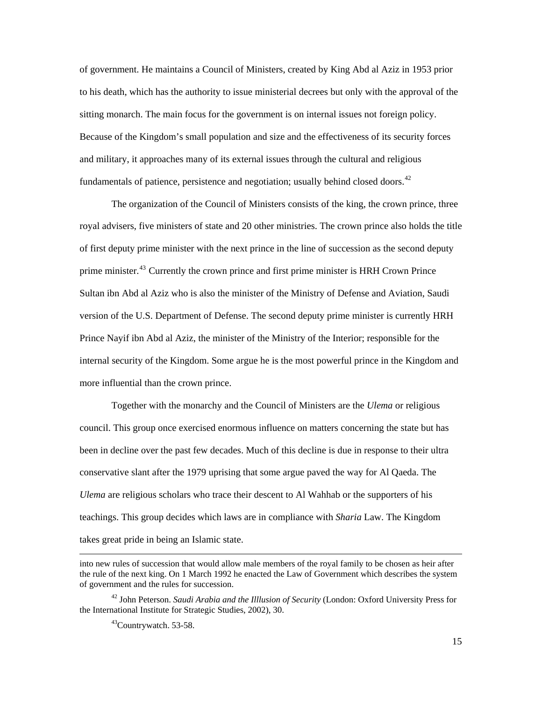of government. He maintains a Council of Ministers, created by King Abd al Aziz in 1953 prior to his death, which has the authority to issue ministerial decrees but only with the approval of the sitting monarch. The main focus for the government is on internal issues not foreign policy. Because of the Kingdom's small population and size and the effectiveness of its security forces and military, it approaches many of its external issues through the cultural and religious fundamentals of patience, persistence and negotiation; usually behind closed doors. $42$ 

 The organization of the Council of Ministers consists of the king, the crown prince, three royal advisers, five ministers of state and 20 other ministries. The crown prince also holds the title of first deputy prime minister with the next prince in the line of succession as the second deputy prime minister.<sup>[43](#page-19-1)</sup> Currently the crown prince and first prime minister is HRH Crown Prince Sultan ibn Abd al Aziz who is also the minister of the Ministry of Defense and Aviation, Saudi version of the U.S. Department of Defense. The second deputy prime minister is currently HRH Prince Nayif ibn Abd al Aziz, the minister of the Ministry of the Interior; responsible for the internal security of the Kingdom. Some argue he is the most powerful prince in the Kingdom and more influential than the crown prince.

 Together with the monarchy and the Council of Ministers are the *Ulema* or religious council. This group once exercised enormous influence on matters concerning the state but has been in decline over the past few decades. Much of this decline is due in response to their ultra conservative slant after the 1979 uprising that some argue paved the way for Al Qaeda. The *Ulema* are religious scholars who trace their descent to Al Wahhab or the supporters of his teachings. This group decides which laws are in compliance with *Sharia* Law. The Kingdom takes great pride in being an Islamic state.

into new rules of succession that would allow male members of the royal family to be chosen as heir after the rule of the next king. On 1 March 1992 he enacted the Law of Government which describes the system of government and the rules for succession.

<span id="page-19-1"></span><span id="page-19-0"></span><sup>42</sup> John Peterson. *Saudi Arabia and the Illlusion of Security* (London: Oxford University Press for the International Institute for Strategic Studies, 2002), 30.

<sup>&</sup>lt;sup>43</sup>Countrywatch. 53-58.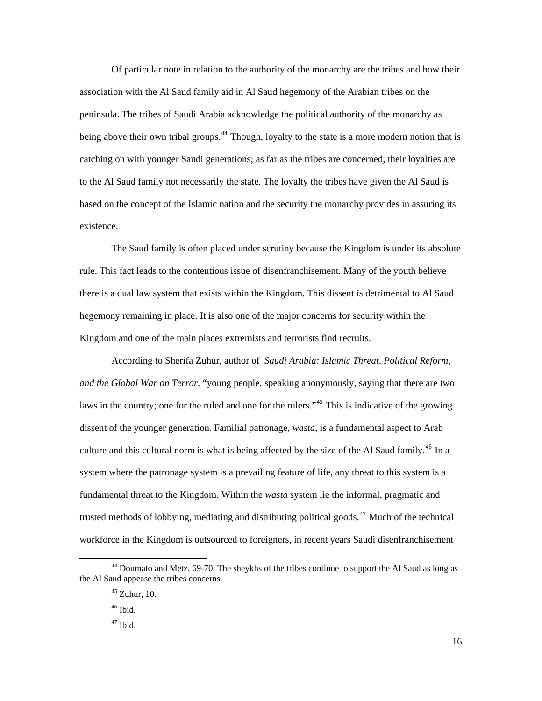Of particular note in relation to the authority of the monarchy are the tribes and how their association with the Al Saud family aid in Al Saud hegemony of the Arabian tribes on the peninsula. The tribes of Saudi Arabia acknowledge the political authority of the monarchy as being above their own tribal groups.<sup>[44](#page-20-0)</sup> Though, loyalty to the state is a more modern notion that is catching on with younger Saudi generations; as far as the tribes are concerned, their loyalties are to the Al Saud family not necessarily the state. The loyalty the tribes have given the Al Saud is based on the concept of the Islamic nation and the security the monarchy provides in assuring its existence.

 The Saud family is often placed under scrutiny because the Kingdom is under its absolute rule. This fact leads to the contentious issue of disenfranchisement. Many of the youth believe there is a dual law system that exists within the Kingdom. This dissent is detrimental to Al Saud hegemony remaining in place. It is also one of the major concerns for security within the Kingdom and one of the main places extremists and terrorists find recruits.

 According to Sherifa Zuhur, author of *Saudi Arabia: Islamic Threat, Political Reform, and the Global War on Terror*, "young people, speaking anonymously, saying that there are two laws in the country; one for the ruled and one for the rulers.<sup>[45](#page-20-1)</sup> This is indicative of the growing dissent of the younger generation. Familial patronage, *wasta*, is a fundamental aspect to Arab culture and this cultural norm is what is being affected by the size of the Al Saud family.<sup>[46](#page-20-2)</sup> In a system where the patronage system is a prevailing feature of life, any threat to this system is a fundamental threat to the Kingdom. Within the *wasta* system lie the informal, pragmatic and trusted methods of lobbying, mediating and distributing political goods.<sup>[47](#page-20-3)</sup> Much of the technical workforce in the Kingdom is outsourced to foreigners, in recent years Saudi disenfranchisement

<span id="page-20-3"></span><span id="page-20-2"></span><span id="page-20-1"></span><span id="page-20-0"></span><sup>44</sup> Doumato and Metz, 69-70. The sheykhs of the tribes continue to support the Al Saud as long as the Al Saud appease the tribes concerns.

 $45$  Zuhur, 10.

 $46$  Ibid.

 $47$  Ibid.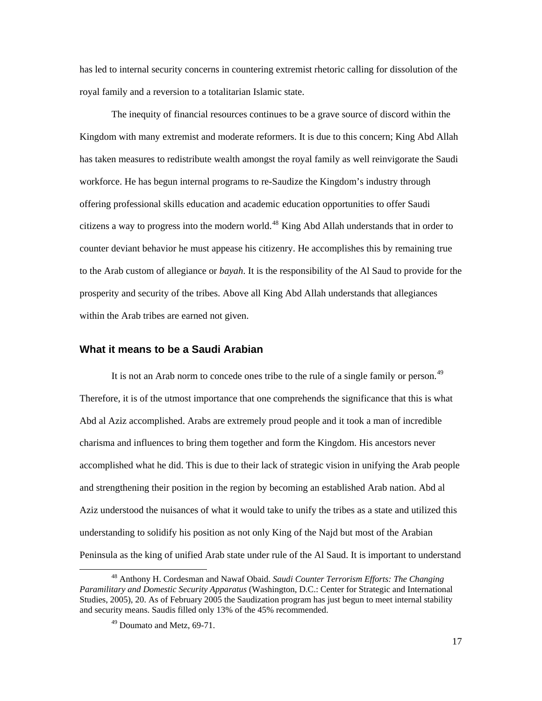<span id="page-21-0"></span>has led to internal security concerns in countering extremist rhetoric calling for dissolution of the royal family and a reversion to a totalitarian Islamic state.

 The inequity of financial resources continues to be a grave source of discord within the Kingdom with many extremist and moderate reformers. It is due to this concern; King Abd Allah has taken measures to redistribute wealth amongst the royal family as well reinvigorate the Saudi workforce. He has begun internal programs to re-Saudize the Kingdom's industry through offering professional skills education and academic education opportunities to offer Saudi citizens a way to progress into the modern world.<sup>[48](#page-21-1)</sup> King Abd Allah understands that in order to counter deviant behavior he must appease his citizenry. He accomplishes this by remaining true to the Arab custom of allegiance or *bayah*. It is the responsibility of the Al Saud to provide for the prosperity and security of the tribes. Above all King Abd Allah understands that allegiances within the Arab tribes are earned not given.

#### **What it means to be a Saudi Arabian**

It is not an Arab norm to concede ones tribe to the rule of a single family or person.<sup>[49](#page-21-2)</sup> Therefore, it is of the utmost importance that one comprehends the significance that this is what Abd al Aziz accomplished. Arabs are extremely proud people and it took a man of incredible charisma and influences to bring them together and form the Kingdom. His ancestors never accomplished what he did. This is due to their lack of strategic vision in unifying the Arab people and strengthening their position in the region by becoming an established Arab nation. Abd al Aziz understood the nuisances of what it would take to unify the tribes as a state and utilized this understanding to solidify his position as not only King of the Najd but most of the Arabian Peninsula as the king of unified Arab state under rule of the Al Saud. It is important to understand

<span id="page-21-2"></span><span id="page-21-1"></span><sup>48</sup> Anthony H. Cordesman and Nawaf Obaid. *Saudi Counter Terrorism Efforts: The Changing Paramilitary and Domestic Security Apparatus* (Washington, D.C.: Center for Strategic and International Studies, 2005), 20. As of February 2005 the Saudization program has just begun to meet internal stability and security means. Saudis filled only 13% of the 45% recommended.

<sup>49</sup> Doumato and Metz, 69-71.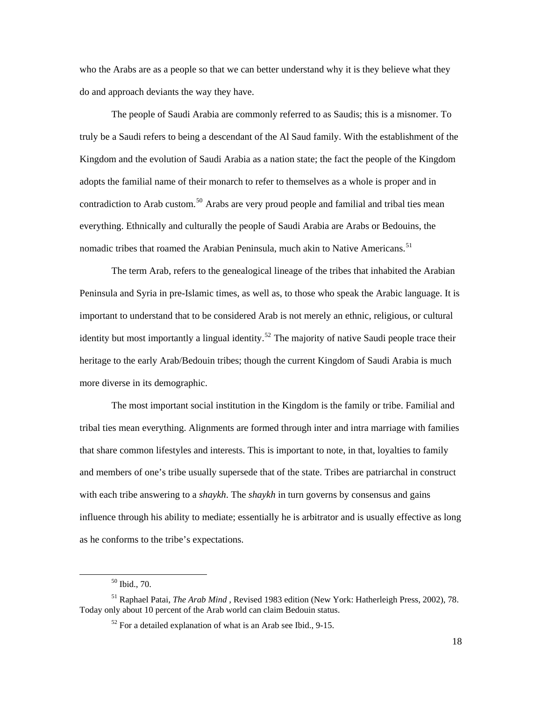who the Arabs are as a people so that we can better understand why it is they believe what they do and approach deviants the way they have.

 The people of Saudi Arabia are commonly referred to as Saudis; this is a misnomer. To truly be a Saudi refers to being a descendant of the Al Saud family. With the establishment of the Kingdom and the evolution of Saudi Arabia as a nation state; the fact the people of the Kingdom adopts the familial name of their monarch to refer to themselves as a whole is proper and in contradiction to Arab custom.<sup>[50](#page-22-0)</sup> Arabs are very proud people and familial and tribal ties mean everything. Ethnically and culturally the people of Saudi Arabia are Arabs or Bedouins, the nomadic tribes that roamed the Arabian Peninsula, much akin to Native Americans.<sup>[51](#page-22-1)</sup>

 The term Arab, refers to the genealogical lineage of the tribes that inhabited the Arabian Peninsula and Syria in pre-Islamic times, as well as, to those who speak the Arabic language. It is important to understand that to be considered Arab is not merely an ethnic, religious, or cultural identity but most importantly a lingual identity.<sup>[52](#page-22-2)</sup> The majority of native Saudi people trace their heritage to the early Arab/Bedouin tribes; though the current Kingdom of Saudi Arabia is much more diverse in its demographic.

 The most important social institution in the Kingdom is the family or tribe. Familial and tribal ties mean everything. Alignments are formed through inter and intra marriage with families that share common lifestyles and interests. This is important to note, in that, loyalties to family and members of one's tribe usually supersede that of the state. Tribes are patriarchal in construct with each tribe answering to a *shaykh*. The *shaykh* in turn governs by consensus and gains influence through his ability to mediate; essentially he is arbitrator and is usually effective as long as he conforms to the tribe's expectations.

<sup>50</sup> Ibid., 70.

<span id="page-22-2"></span><span id="page-22-1"></span><span id="page-22-0"></span><sup>51</sup> Raphael Patai, *The Arab Mind* , Revised 1983 edition (New York: Hatherleigh Press, 2002), 78. Today only about 10 percent of the Arab world can claim Bedouin status.

 $52$  For a detailed explanation of what is an Arab see Ibid., 9-15.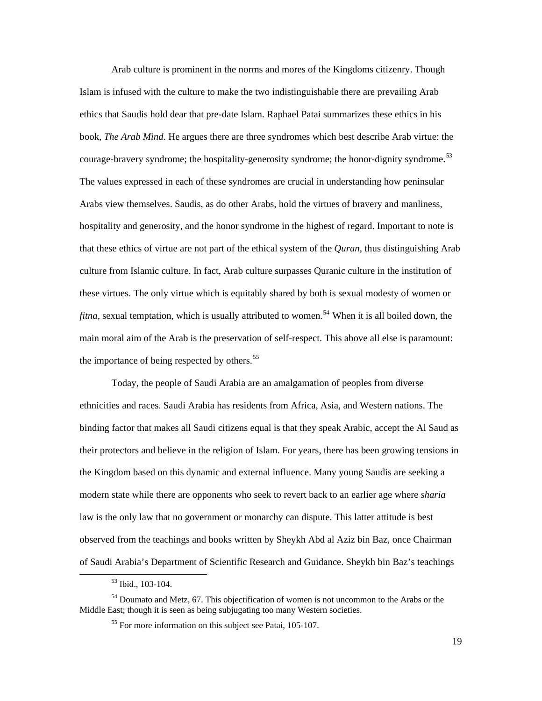Arab culture is prominent in the norms and mores of the Kingdoms citizenry. Though Islam is infused with the culture to make the two indistinguishable there are prevailing Arab ethics that Saudis hold dear that pre-date Islam. Raphael Patai summarizes these ethics in his book, *The Arab Mind*. He argues there are three syndromes which best describe Arab virtue: the courage-bravery syndrome; the hospitality-generosity syndrome; the honor-dignity syndrome.<sup>[53](#page-23-0)</sup> The values expressed in each of these syndromes are crucial in understanding how peninsular Arabs view themselves. Saudis, as do other Arabs, hold the virtues of bravery and manliness, hospitality and generosity, and the honor syndrome in the highest of regard. Important to note is that these ethics of virtue are not part of the ethical system of the *Quran*, thus distinguishing Arab culture from Islamic culture. In fact, Arab culture surpasses Quranic culture in the institution of these virtues. The only virtue which is equitably shared by both is sexual modesty of women or *fitna*, sexual temptation, which is usually attributed to women.<sup>[54](#page-23-1)</sup> When it is all boiled down, the main moral aim of the Arab is the preservation of self-respect. This above all else is paramount: the importance of being respected by others.<sup>[55](#page-23-2)</sup>

 Today, the people of Saudi Arabia are an amalgamation of peoples from diverse ethnicities and races. Saudi Arabia has residents from Africa, Asia, and Western nations. The binding factor that makes all Saudi citizens equal is that they speak Arabic, accept the Al Saud as their protectors and believe in the religion of Islam. For years, there has been growing tensions in the Kingdom based on this dynamic and external influence. Many young Saudis are seeking a modern state while there are opponents who seek to revert back to an earlier age where *sharia* law is the only law that no government or monarchy can dispute. This latter attitude is best observed from the teachings and books written by Sheykh Abd al Aziz bin Baz, once Chairman of Saudi Arabia's Department of Scientific Research and Guidance. Sheykh bin Baz's teachings

<sup>53</sup> Ibid., 103-104.

<span id="page-23-2"></span><span id="page-23-1"></span><span id="page-23-0"></span><sup>54</sup> Doumato and Metz, 67. This objectification of women is not uncommon to the Arabs or the Middle East; though it is seen as being subjugating too many Western societies.

<sup>55</sup> For more information on this subject see Patai, 105-107.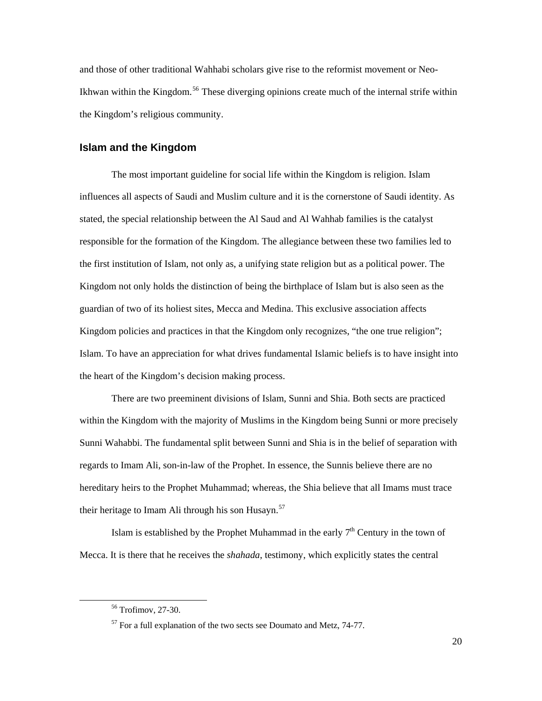<span id="page-24-0"></span>and those of other traditional Wahhabi scholars give rise to the reformist movement or Neo-Ikhwan within the Kingdom.<sup>[56](#page-24-1)</sup> These diverging opinions create much of the internal strife within the Kingdom's religious community.

#### **Islam and the Kingdom**

 The most important guideline for social life within the Kingdom is religion. Islam influences all aspects of Saudi and Muslim culture and it is the cornerstone of Saudi identity. As stated, the special relationship between the Al Saud and Al Wahhab families is the catalyst responsible for the formation of the Kingdom. The allegiance between these two families led to the first institution of Islam, not only as, a unifying state religion but as a political power. The Kingdom not only holds the distinction of being the birthplace of Islam but is also seen as the guardian of two of its holiest sites, Mecca and Medina. This exclusive association affects Kingdom policies and practices in that the Kingdom only recognizes, "the one true religion"; Islam. To have an appreciation for what drives fundamental Islamic beliefs is to have insight into the heart of the Kingdom's decision making process.

 There are two preeminent divisions of Islam, Sunni and Shia. Both sects are practiced within the Kingdom with the majority of Muslims in the Kingdom being Sunni or more precisely Sunni Wahabbi. The fundamental split between Sunni and Shia is in the belief of separation with regards to Imam Ali, son-in-law of the Prophet. In essence, the Sunnis believe there are no hereditary heirs to the Prophet Muhammad; whereas, the Shia believe that all Imams must trace their heritage to Imam Ali through his son Husayn. $57$ 

Islam is established by the Prophet Muhammad in the early  $7<sup>th</sup>$  Century in the town of Mecca. It is there that he receives the *shahada*, testimony, which explicitly states the central

<span id="page-24-1"></span><sup>56</sup> Trofimov, 27-30.

<span id="page-24-2"></span> $57$  For a full explanation of the two sects see Doumato and Metz, 74-77.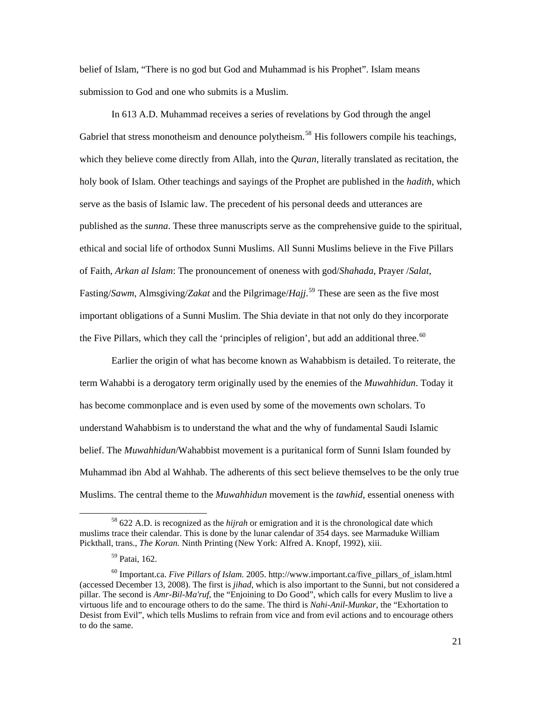belief of Islam, "There is no god but God and Muhammad is his Prophet". Islam means submission to God and one who submits is a Muslim.

 In 613 A.D. Muhammad receives a series of revelations by God through the angel Gabriel that stress monotheism and denounce polytheism.<sup>[58](#page-25-0)</sup> His followers compile his teachings, which they believe come directly from Allah, into the *Quran*, literally translated as recitation, the holy book of Islam. Other teachings and sayings of the Prophet are published in the *hadith*, which serve as the basis of Islamic law. The precedent of his personal deeds and utterances are published as the *sunna*. These three manuscripts serve as the comprehensive guide to the spiritual, ethical and social life of orthodox Sunni Muslims. All Sunni Muslims believe in the Five Pillars of Faith, *Arkan al Islam*: The pronouncement of oneness with god/*Shahada*, Prayer /*Salat*, Fasting/*Sawm*, Almsgiving/*Zakat* and the Pilgrimage/*Hajj*. [59](#page-25-1) These are seen as the five most important obligations of a Sunni Muslim. The Shia deviate in that not only do they incorporate the Five Pillars, which they call the 'principles of religion', but add an additional three.<sup>[60](#page-25-2)</sup>

 Earlier the origin of what has become known as Wahabbism is detailed. To reiterate, the term Wahabbi is a derogatory term originally used by the enemies of the *Muwahhidun*. Today it has become commonplace and is even used by some of the movements own scholars. To understand Wahabbism is to understand the what and the why of fundamental Saudi Islamic belief. The *Muwahhidun*/Wahabbist movement is a puritanical form of Sunni Islam founded by Muhammad ibn Abd al Wahhab. The adherents of this sect believe themselves to be the only true Muslims. The central theme to the *Muwahhidun* movement is the *tawhid*, essential oneness with

<span id="page-25-0"></span><sup>58 622</sup> A.D. is recognized as the *hijrah* or emigration and it is the chronological date which muslims trace their calendar. This is done by the lunar calendar of 354 days. see Marmaduke William Pickthall, trans., *The Koran.* Ninth Printing (New York: Alfred A. Knopf, 1992), xiii.

<sup>59</sup> Patai, 162.

<span id="page-25-2"></span><span id="page-25-1"></span><sup>60</sup> Important.ca. *Five Pillars of Islam.* 2005. http://www.important.ca/five\_pillars\_of\_islam.html (accessed December 13, 2008). The first is *jihad*, which is also important to the Sunni, but not considered a pillar. The second is *Amr-Bil-Ma'ruf*, the "Enjoining to Do Good", which calls for every Muslim to live a virtuous life and to encourage others to do the same. The third is *Nahi-Anil-Munkar*, the "Exhortation to Desist from Evil", which tells Muslims to refrain from vice and from evil actions and to encourage others to do the same.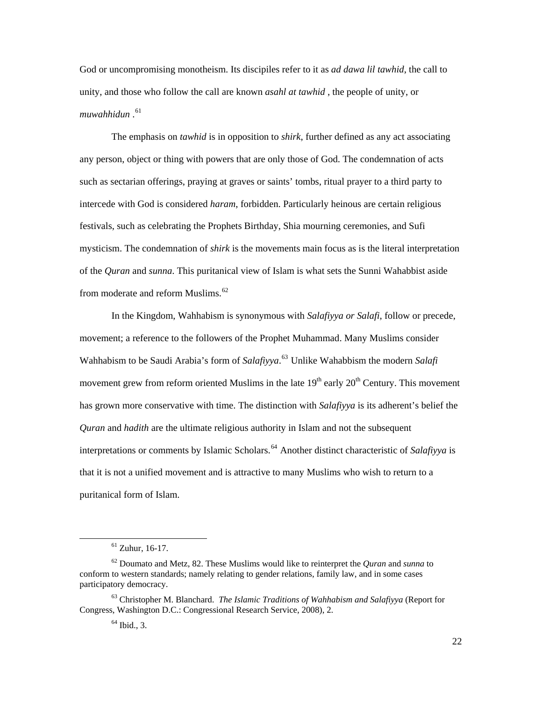God or uncompromising monotheism. Its discipiles refer to it as *ad dawa lil tawhid*, the call to unity, and those who follow the call are known *asahl at tawhid* , the people of unity, or muwahhidun .<sup>[61](#page-26-0)</sup>

 The emphasis on *tawhid* is in opposition to *shirk*, further defined as any act associating any person, object or thing with powers that are only those of God. The condemnation of acts such as sectarian offerings, praying at graves or saints' tombs, ritual prayer to a third party to intercede with God is considered *haram*, forbidden. Particularly heinous are certain religious festivals, such as celebrating the Prophets Birthday, Shia mourning ceremonies, and Sufi mysticism. The condemnation of *shirk* is the movements main focus as is the literal interpretation of the *Quran* and *sunna*. This puritanical view of Islam is what sets the Sunni Wahabbist aside from moderate and reform Muslims. $62$ 

 In the Kingdom, Wahhabism is synonymous with *Salafiyya or Salafi*, follow or precede, movement; a reference to the followers of the Prophet Muhammad. Many Muslims consider Wahhabism to be Saudi Arabia's form of *Salafiyya*. [63](#page-26-2) Unlike Wahabbism the modern *Salafi* movement grew from reform oriented Muslims in the late  $19<sup>th</sup>$  early  $20<sup>th</sup>$  Century. This movement has grown more conservative with time. The distinction with *Salafiyya* is its adherent's belief the *Quran* and *hadith* are the ultimate religious authority in Islam and not the subsequent interpretations or comments by Islamic Scholars.<sup>[64](#page-26-3)</sup> Another distinct characteristic of *Salafiyya* is that it is not a unified movement and is attractive to many Muslims who wish to return to a puritanical form of Islam.

 $61$  Zuhur, 16-17.

<span id="page-26-1"></span><span id="page-26-0"></span><sup>62</sup> Doumato and Metz, 82. These Muslims would like to reinterpret the *Quran* and *sunna* to conform to western standards; namely relating to gender relations, family law, and in some cases participatory democracy.

<span id="page-26-3"></span><span id="page-26-2"></span><sup>63</sup> Christopher M. Blanchard. *The Islamic Traditions of Wahhabism and Salafiyya* (Report for Congress, Washington D.C.: Congressional Research Service, 2008), 2.

 $64$  Ibid., 3.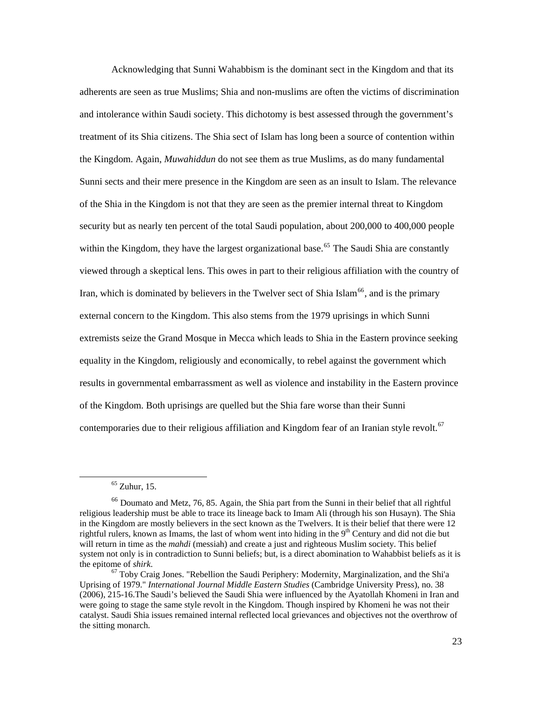Acknowledging that Sunni Wahabbism is the dominant sect in the Kingdom and that its adherents are seen as true Muslims; Shia and non-muslims are often the victims of discrimination and intolerance within Saudi society. This dichotomy is best assessed through the government's treatment of its Shia citizens. The Shia sect of Islam has long been a source of contention within the Kingdom. Again, *Muwahiddun* do not see them as true Muslims, as do many fundamental Sunni sects and their mere presence in the Kingdom are seen as an insult to Islam. The relevance of the Shia in the Kingdom is not that they are seen as the premier internal threat to Kingdom security but as nearly ten percent of the total Saudi population, about 200,000 to 400,000 people within the Kingdom, they have the largest organizational base.<sup>[65](#page-27-0)</sup> The Saudi Shia are constantly viewed through a skeptical lens. This owes in part to their religious affiliation with the country of Iran, which is dominated by believers in the Twelver sect of Shia Islam<sup>[66](#page-27-1)</sup>, and is the primary external concern to the Kingdom. This also stems from the 1979 uprisings in which Sunni extremists seize the Grand Mosque in Mecca which leads to Shia in the Eastern province seeking equality in the Kingdom, religiously and economically, to rebel against the government which results in governmental embarrassment as well as violence and instability in the Eastern province of the Kingdom. Both uprisings are quelled but the Shia fare worse than their Sunni contemporaries due to their religious affiliation and Kingdom fear of an Iranian style revolt.<sup>[67](#page-27-2)</sup>

 $65$  Zuhur, 15.

<span id="page-27-1"></span><span id="page-27-0"></span><sup>66</sup> Doumato and Metz, 76, 85. Again, the Shia part from the Sunni in their belief that all rightful religious leadership must be able to trace its lineage back to Imam Ali (through his son Husayn). The Shia in the Kingdom are mostly believers in the sect known as the Twelvers. It is their belief that there were 12 rightful rulers, known as Imams, the last of whom went into hiding in the 9<sup>th</sup> Century and did not die but will return in time as the *mahdi* (messiah) and create a just and righteous Muslim society. This belief system not only is in contradiction to Sunni beliefs; but, is a direct abomination to Wahabbist beliefs as it is the epitome of *shirk*. 67 Toby Craig Jones. "Rebellion the Saudi Periphery: Modernity, Marginalization, and the Shi'a

<span id="page-27-2"></span>Uprising of 1979." *International Journal Middle Eastern Studies* (Cambridge University Press), no. 38 (2006), 215-16.The Saudi's believed the Saudi Shia were influenced by the Ayatollah Khomeni in Iran and were going to stage the same style revolt in the Kingdom. Though inspired by Khomeni he was not their catalyst. Saudi Shia issues remained internal reflected local grievances and objectives not the overthrow of the sitting monarch.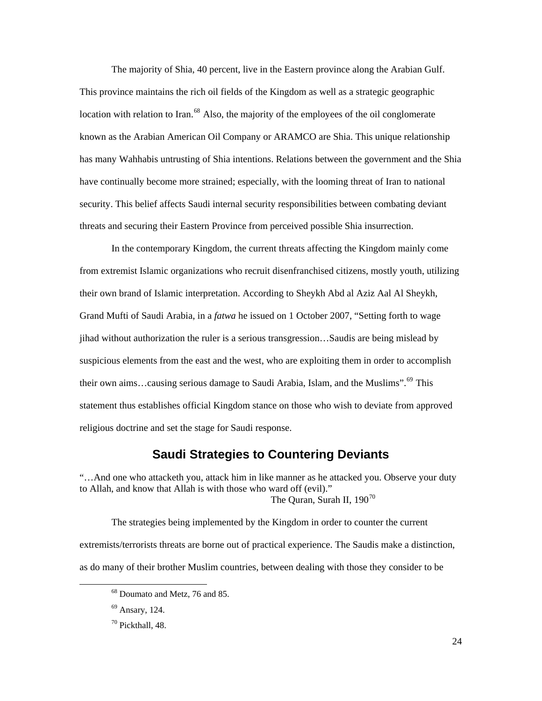<span id="page-28-0"></span> The majority of Shia, 40 percent, live in the Eastern province along the Arabian Gulf. This province maintains the rich oil fields of the Kingdom as well as a strategic geographic location with relation to Iran.<sup>[68](#page-28-1)</sup> Also, the majority of the employees of the oil conglomerate known as the Arabian American Oil Company or ARAMCO are Shia. This unique relationship has many Wahhabis untrusting of Shia intentions. Relations between the government and the Shia have continually become more strained; especially, with the looming threat of Iran to national security. This belief affects Saudi internal security responsibilities between combating deviant threats and securing their Eastern Province from perceived possible Shia insurrection.

 In the contemporary Kingdom, the current threats affecting the Kingdom mainly come from extremist Islamic organizations who recruit disenfranchised citizens, mostly youth, utilizing their own brand of Islamic interpretation. According to Sheykh Abd al Aziz Aal Al Sheykh, Grand Mufti of Saudi Arabia, in a *fatwa* he issued on 1 October 2007, "Setting forth to wage jihad without authorization the ruler is a serious transgression…Saudis are being mislead by suspicious elements from the east and the west, who are exploiting them in order to accomplish their own aims...causing serious damage to Saudi Arabia, Islam, and the Muslims".<sup>[69](#page-28-2)</sup> This statement thus establishes official Kingdom stance on those who wish to deviate from approved religious doctrine and set the stage for Saudi response.

### **Saudi Strategies to Countering Deviants**

"…And one who attacketh you, attack him in like manner as he attacked you. Observe your duty to Allah, and know that Allah is with those who ward off (evil)." The Quran, Surah II,  $190^{70}$  $190^{70}$  $190^{70}$ 

<span id="page-28-1"></span> The strategies being implemented by the Kingdom in order to counter the current extremists/terrorists threats are borne out of practical experience. The Saudis make a distinction, as do many of their brother Muslim countries, between dealing with those they consider to be

<sup>68</sup> Doumato and Metz, 76 and 85.

<span id="page-28-2"></span><sup>69</sup> Ansary, 124.

<span id="page-28-3"></span> $70$  Pickthall, 48.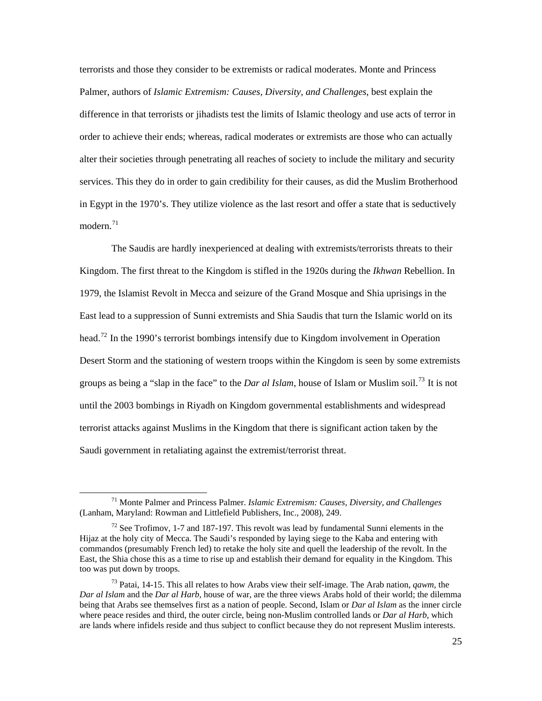terrorists and those they consider to be extremists or radical moderates. Monte and Princess Palmer, authors of *Islamic Extremism: Causes, Diversity, and Challenges*, best explain the difference in that terrorists or jihadists test the limits of Islamic theology and use acts of terror in order to achieve their ends; whereas, radical moderates or extremists are those who can actually alter their societies through penetrating all reaches of society to include the military and security services. This they do in order to gain credibility for their causes, as did the Muslim Brotherhood in Egypt in the 1970's. They utilize violence as the last resort and offer a state that is seductively modern. $71$ 

 The Saudis are hardly inexperienced at dealing with extremists/terrorists threats to their Kingdom. The first threat to the Kingdom is stifled in the 1920s during the *Ikhwan* Rebellion. In 1979, the Islamist Revolt in Mecca and seizure of the Grand Mosque and Shia uprisings in the East lead to a suppression of Sunni extremists and Shia Saudis that turn the Islamic world on its head.<sup>[72](#page-29-1)</sup> In the 1990's terrorist bombings intensify due to Kingdom involvement in Operation Desert Storm and the stationing of western troops within the Kingdom is seen by some extremists groups as being a "slap in the face" to the *Dar al Islam*, house of Islam or Muslim soil.[73](#page-29-2) It is not until the 2003 bombings in Riyadh on Kingdom governmental establishments and widespread terrorist attacks against Muslims in the Kingdom that there is significant action taken by the Saudi government in retaliating against the extremist/terrorist threat.

<span id="page-29-0"></span><sup>71</sup> Monte Palmer and Princess Palmer. *Islamic Extremism: Causes, Diversity, and Challenges*  (Lanham, Maryland: Rowman and Littlefield Publishers, Inc., 2008), 249.

<span id="page-29-1"></span> $72$  See Trofimov, 1-7 and 187-197. This revolt was lead by fundamental Sunni elements in the Hijaz at the holy city of Mecca. The Saudi's responded by laying siege to the Kaba and entering with commandos (presumably French led) to retake the holy site and quell the leadership of the revolt. In the East, the Shia chose this as a time to rise up and establish their demand for equality in the Kingdom. This too was put down by troops.

<span id="page-29-2"></span><sup>73</sup> Patai, 14-15. This all relates to how Arabs view their self-image. The Arab nation, *qawm*, the *Dar al Islam* and the *Dar al Harb,* house of war, are the three views Arabs hold of their world; the dilemma being that Arabs see themselves first as a nation of people. Second, Islam or *Dar al Islam* as the inner circle where peace resides and third, the outer circle, being non-Muslim controlled lands or *Dar al Harb*, which are lands where infidels reside and thus subject to conflict because they do not represent Muslim interests.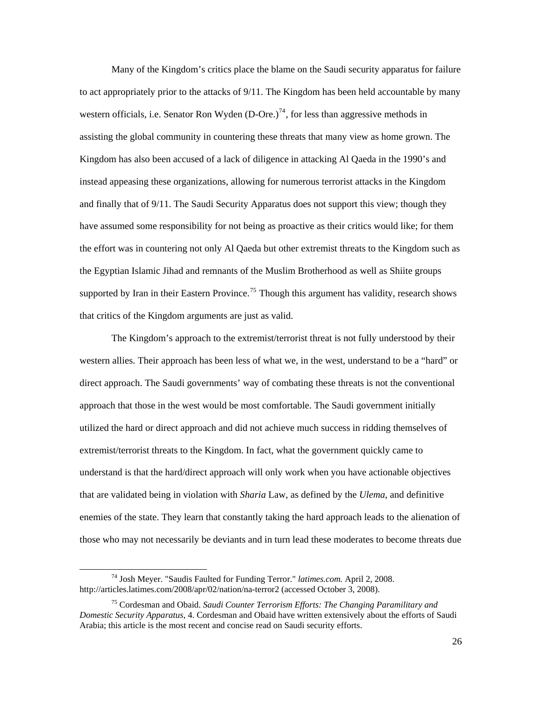Many of the Kingdom's critics place the blame on the Saudi security apparatus for failure to act appropriately prior to the attacks of 9/11. The Kingdom has been held accountable by many western officials, i.e. Senator Ron Wyden  $(D-Ore.)^{74}$  $(D-Ore.)^{74}$  $(D-Ore.)^{74}$ , for less than aggressive methods in assisting the global community in countering these threats that many view as home grown. The Kingdom has also been accused of a lack of diligence in attacking Al Qaeda in the 1990's and instead appeasing these organizations, allowing for numerous terrorist attacks in the Kingdom and finally that of 9/11. The Saudi Security Apparatus does not support this view; though they have assumed some responsibility for not being as proactive as their critics would like; for them the effort was in countering not only Al Qaeda but other extremist threats to the Kingdom such as the Egyptian Islamic Jihad and remnants of the Muslim Brotherhood as well as Shiite groups supported by Iran in their Eastern Province.<sup>[75](#page-30-1)</sup> Though this argument has validity, research shows that critics of the Kingdom arguments are just as valid.

 The Kingdom's approach to the extremist/terrorist threat is not fully understood by their western allies. Their approach has been less of what we, in the west, understand to be a "hard" or direct approach. The Saudi governments' way of combating these threats is not the conventional approach that those in the west would be most comfortable. The Saudi government initially utilized the hard or direct approach and did not achieve much success in ridding themselves of extremist/terrorist threats to the Kingdom. In fact, what the government quickly came to understand is that the hard/direct approach will only work when you have actionable objectives that are validated being in violation with *Sharia* Law, as defined by the *Ulema*, and definitive enemies of the state. They learn that constantly taking the hard approach leads to the alienation of those who may not necessarily be deviants and in turn lead these moderates to become threats due

<span id="page-30-0"></span><sup>74</sup> Josh Meyer. "Saudis Faulted for Funding Terror." *latimes.com.* April 2, 2008. http://articles.latimes.com/2008/apr/02/nation/na-terror2 (accessed October 3, 2008).

<span id="page-30-1"></span><sup>75</sup> Cordesman and Obaid. *Saudi Counter Terrorism Efforts: The Changing Paramilitary and Domestic Security Apparatus*, 4. Cordesman and Obaid have written extensively about the efforts of Saudi Arabia; this article is the most recent and concise read on Saudi security efforts.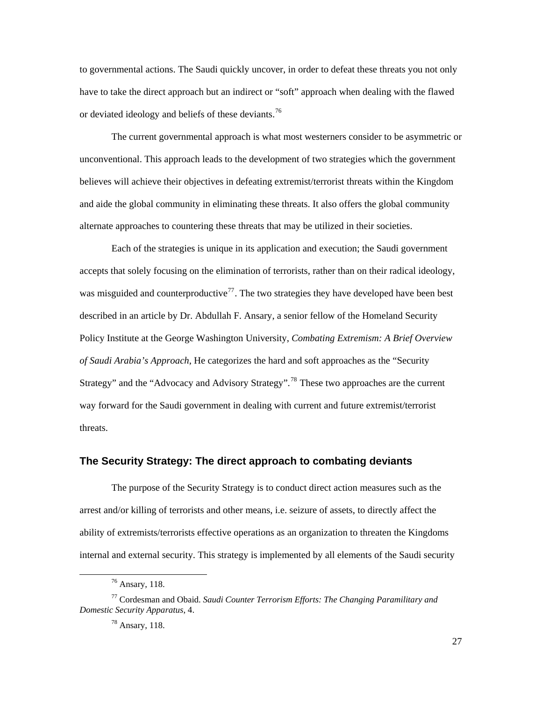<span id="page-31-0"></span>to governmental actions. The Saudi quickly uncover, in order to defeat these threats you not only have to take the direct approach but an indirect or "soft" approach when dealing with the flawed or deviated ideology and beliefs of these deviants.<sup>[76](#page-31-1)</sup>

 The current governmental approach is what most westerners consider to be asymmetric or unconventional. This approach leads to the development of two strategies which the government believes will achieve their objectives in defeating extremist/terrorist threats within the Kingdom and aide the global community in eliminating these threats. It also offers the global community alternate approaches to countering these threats that may be utilized in their societies.

 Each of the strategies is unique in its application and execution; the Saudi government accepts that solely focusing on the elimination of terrorists, rather than on their radical ideology, was misguided and counterproductive<sup>[77](#page-31-2)</sup>. The two strategies they have developed have been best described in an article by Dr. Abdullah F. Ansary, a senior fellow of the Homeland Security Policy Institute at the George Washington University, *Combating Extremism: A Brief Overview of Saudi Arabia's Approach*, He categorizes the hard and soft approaches as the "Security Strategy" and the "Advocacy and Advisory Strategy".<sup>[78](#page-31-3)</sup> These two approaches are the current way forward for the Saudi government in dealing with current and future extremist/terrorist threats.

#### **The Security Strategy: The direct approach to combating deviants**

 The purpose of the Security Strategy is to conduct direct action measures such as the arrest and/or killing of terrorists and other means, i.e. seizure of assets, to directly affect the ability of extremists/terrorists effective operations as an organization to threaten the Kingdoms internal and external security. This strategy is implemented by all elements of the Saudi security

<sup>76</sup> Ansary, 118.

<span id="page-31-3"></span><span id="page-31-2"></span><span id="page-31-1"></span><sup>77</sup> Cordesman and Obaid. *Saudi Counter Terrorism Efforts: The Changing Paramilitary and Domestic Security Apparatus*, 4.

<sup>78</sup> Ansary, 118.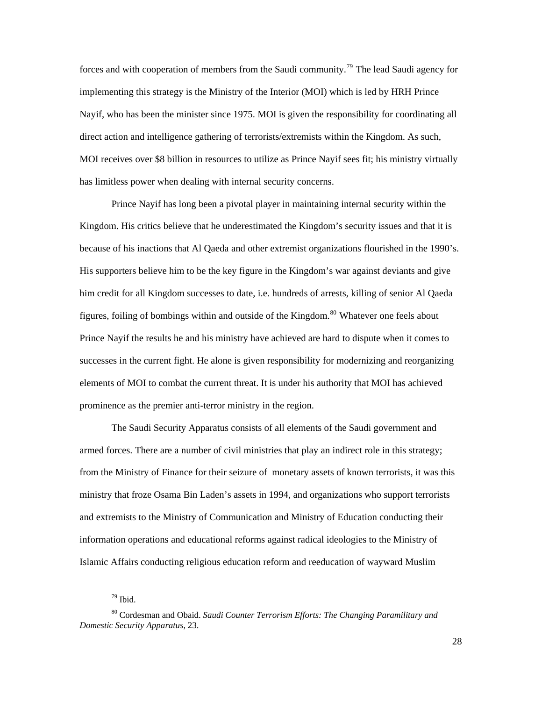forces and with cooperation of members from the Saudi community.<sup>[79](#page-32-0)</sup> The lead Saudi agency for implementing this strategy is the Ministry of the Interior (MOI) which is led by HRH Prince Nayif, who has been the minister since 1975. MOI is given the responsibility for coordinating all direct action and intelligence gathering of terrorists/extremists within the Kingdom. As such, MOI receives over \$8 billion in resources to utilize as Prince Nayif sees fit; his ministry virtually has limitless power when dealing with internal security concerns.

 Prince Nayif has long been a pivotal player in maintaining internal security within the Kingdom. His critics believe that he underestimated the Kingdom's security issues and that it is because of his inactions that Al Qaeda and other extremist organizations flourished in the 1990's. His supporters believe him to be the key figure in the Kingdom's war against deviants and give him credit for all Kingdom successes to date, i.e. hundreds of arrests, killing of senior Al Qaeda figures, foiling of bombings within and outside of the Kingdom.<sup>[80](#page-32-1)</sup> Whatever one feels about Prince Nayif the results he and his ministry have achieved are hard to dispute when it comes to successes in the current fight. He alone is given responsibility for modernizing and reorganizing elements of MOI to combat the current threat. It is under his authority that MOI has achieved prominence as the premier anti-terror ministry in the region.

 The Saudi Security Apparatus consists of all elements of the Saudi government and armed forces. There are a number of civil ministries that play an indirect role in this strategy; from the Ministry of Finance for their seizure of monetary assets of known terrorists, it was this ministry that froze Osama Bin Laden's assets in 1994, and organizations who support terrorists and extremists to the Ministry of Communication and Ministry of Education conducting their information operations and educational reforms against radical ideologies to the Ministry of Islamic Affairs conducting religious education reform and reeducation of wayward Muslim

<sup>79</sup> Ibid.

<span id="page-32-1"></span><span id="page-32-0"></span><sup>80</sup> Cordesman and Obaid. *Saudi Counter Terrorism Efforts: The Changing Paramilitary and Domestic Security Apparatus*, 23.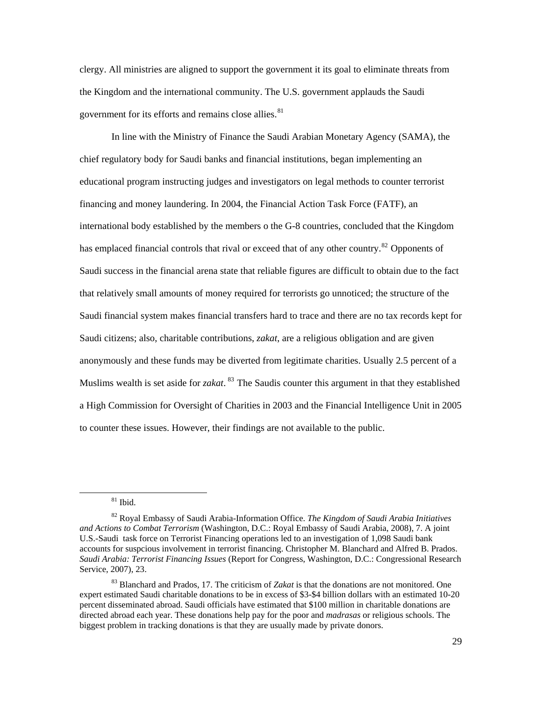clergy. All ministries are aligned to support the government it its goal to eliminate threats from the Kingdom and the international community. The U.S. government applauds the Saudi government for its efforts and remains close allies.<sup>[81](#page-33-0)</sup>

 In line with the Ministry of Finance the Saudi Arabian Monetary Agency (SAMA), the chief regulatory body for Saudi banks and financial institutions, began implementing an educational program instructing judges and investigators on legal methods to counter terrorist financing and money laundering. In 2004, the Financial Action Task Force (FATF), an international body established by the members o the G-8 countries, concluded that the Kingdom has emplaced financial controls that rival or exceed that of any other country.<sup>[82](#page-33-1)</sup> Opponents of Saudi success in the financial arena state that reliable figures are difficult to obtain due to the fact that relatively small amounts of money required for terrorists go unnoticed; the structure of the Saudi financial system makes financial transfers hard to trace and there are no tax records kept for Saudi citizens; also, charitable contributions, *zakat*, are a religious obligation and are given anonymously and these funds may be diverted from legitimate charities. Usually 2.5 percent of a Muslims wealth is set aside for *zakat*. <sup>[83](#page-33-2)</sup> The Saudis counter this argument in that they established a High Commission for Oversight of Charities in 2003 and the Financial Intelligence Unit in 2005 to counter these issues. However, their findings are not available to the public.

 $81$  Ibid.

<span id="page-33-1"></span><span id="page-33-0"></span><sup>82</sup> Royal Embassy of Saudi Arabia-Information Office. *The Kingdom of Saudi Arabia Initiatives and Actions to Combat Terrorism* (Washington, D.C.: Royal Embassy of Saudi Arabia, 2008), 7. A joint U.S.-Saudi task force on Terrorist Financing operations led to an investigation of 1,098 Saudi bank accounts for suspcious involvement in terrorist financing. Christopher M. Blanchard and Alfred B. Prados. *Saudi Arabia: Terrorist Financing Issues* (Report for Congress, Washington, D.C.: Congressional Research Service, 2007), 23.

<span id="page-33-2"></span><sup>83</sup> Blanchard and Prados, 17. The criticism of *Zakat* is that the donations are not monitored. One expert estimated Saudi charitable donations to be in excess of \$3-\$4 billion dollars with an estimated 10-20 percent disseminated abroad. Saudi officials have estimated that \$100 million in charitable donations are directed abroad each year. These donations help pay for the poor and *madrasas* or religious schools. The biggest problem in tracking donations is that they are usually made by private donors.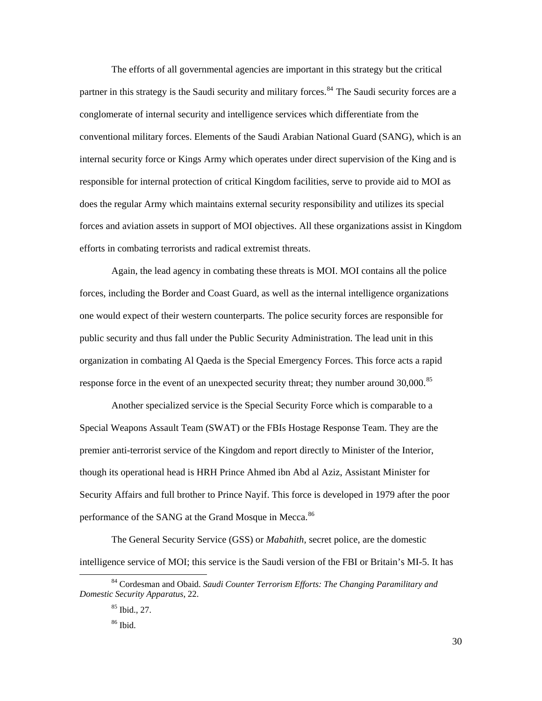The efforts of all governmental agencies are important in this strategy but the critical partner in this strategy is the Saudi security and military forces.<sup>[84](#page-34-0)</sup> The Saudi security forces are a conglomerate of internal security and intelligence services which differentiate from the conventional military forces. Elements of the Saudi Arabian National Guard (SANG), which is an internal security force or Kings Army which operates under direct supervision of the King and is responsible for internal protection of critical Kingdom facilities, serve to provide aid to MOI as does the regular Army which maintains external security responsibility and utilizes its special forces and aviation assets in support of MOI objectives. All these organizations assist in Kingdom efforts in combating terrorists and radical extremist threats.

 Again, the lead agency in combating these threats is MOI. MOI contains all the police forces, including the Border and Coast Guard, as well as the internal intelligence organizations one would expect of their western counterparts. The police security forces are responsible for public security and thus fall under the Public Security Administration. The lead unit in this organization in combating Al Qaeda is the Special Emergency Forces. This force acts a rapid response force in the event of an unexpected security threat; they number around 30,000.<sup>[85](#page-34-1)</sup>

 Another specialized service is the Special Security Force which is comparable to a Special Weapons Assault Team (SWAT) or the FBIs Hostage Response Team. They are the premier anti-terrorist service of the Kingdom and report directly to Minister of the Interior, though its operational head is HRH Prince Ahmed ibn Abd al Aziz, Assistant Minister for Security Affairs and full brother to Prince Nayif. This force is developed in 1979 after the poor performance of the SANG at the Grand Mosque in Mecca.<sup>[86](#page-34-2)</sup>

 The General Security Service (GSS) or *Mabahith*, secret police, are the domestic intelligence service of MOI; this service is the Saudi version of the FBI or Britain's MI-5. It has

<span id="page-34-2"></span><span id="page-34-1"></span><span id="page-34-0"></span><sup>84</sup> Cordesman and Obaid. *Saudi Counter Terrorism Efforts: The Changing Paramilitary and Domestic Security Apparatus*, 22.

<sup>85</sup> Ibid., 27.

<sup>86</sup> Ibid.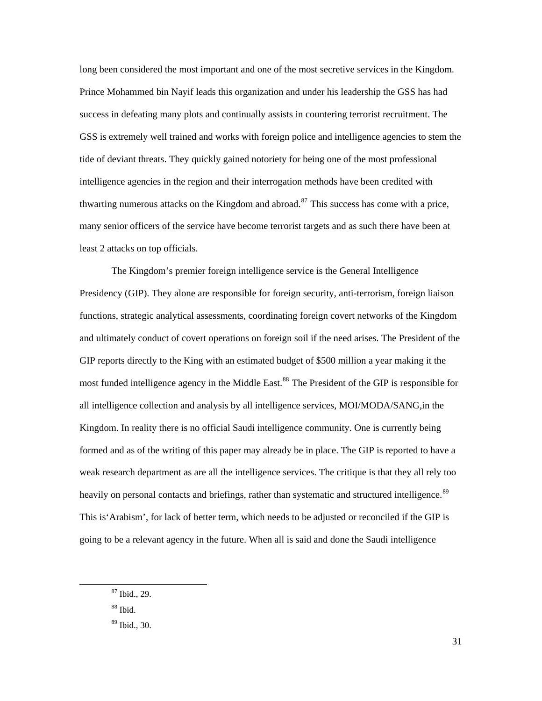long been considered the most important and one of the most secretive services in the Kingdom. Prince Mohammed bin Nayif leads this organization and under his leadership the GSS has had success in defeating many plots and continually assists in countering terrorist recruitment. The GSS is extremely well trained and works with foreign police and intelligence agencies to stem the tide of deviant threats. They quickly gained notoriety for being one of the most professional intelligence agencies in the region and their interrogation methods have been credited with thwarting numerous attacks on the Kingdom and abroad.<sup>[87](#page-35-0)</sup> This success has come with a price, many senior officers of the service have become terrorist targets and as such there have been at least 2 attacks on top officials.

 The Kingdom's premier foreign intelligence service is the General Intelligence Presidency (GIP). They alone are responsible for foreign security, anti-terrorism, foreign liaison functions, strategic analytical assessments, coordinating foreign covert networks of the Kingdom and ultimately conduct of covert operations on foreign soil if the need arises. The President of the GIP reports directly to the King with an estimated budget of \$500 million a year making it the most funded intelligence agency in the Middle East.<sup>[88](#page-35-1)</sup> The President of the GIP is responsible for all intelligence collection and analysis by all intelligence services, MOI/MODA/SANG,in the Kingdom. In reality there is no official Saudi intelligence community. One is currently being formed and as of the writing of this paper may already be in place. The GIP is reported to have a weak research department as are all the intelligence services. The critique is that they all rely too heavily on personal contacts and briefings, rather than systematic and structured intelligence.<sup>[89](#page-35-2)</sup> This is'Arabism', for lack of better term, which needs to be adjusted or reconciled if the GIP is going to be a relevant agency in the future. When all is said and done the Saudi intelligence

<span id="page-35-0"></span><sup>87</sup> Ibid., 29.

<span id="page-35-1"></span><sup>88</sup> Ibid.

<span id="page-35-2"></span><sup>89</sup> Ibid., 30.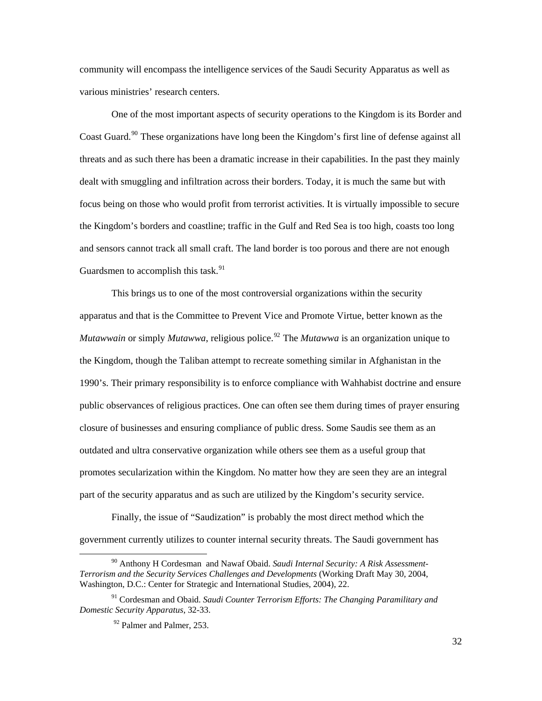community will encompass the intelligence services of the Saudi Security Apparatus as well as various ministries' research centers.

 One of the most important aspects of security operations to the Kingdom is its Border and Coast Guard.<sup>[90](#page-36-0)</sup> These organizations have long been the Kingdom's first line of defense against all threats and as such there has been a dramatic increase in their capabilities. In the past they mainly dealt with smuggling and infiltration across their borders. Today, it is much the same but with focus being on those who would profit from terrorist activities. It is virtually impossible to secure the Kingdom's borders and coastline; traffic in the Gulf and Red Sea is too high, coasts too long and sensors cannot track all small craft. The land border is too porous and there are not enough Guardsmen to accomplish this task. $91$ 

 This brings us to one of the most controversial organizations within the security apparatus and that is the Committee to Prevent Vice and Promote Virtue, better known as the *Mutawwain* or simply *Mutawwa*, religious police.<sup>[92](#page-36-2)</sup> The *Mutawwa* is an organization unique to the Kingdom, though the Taliban attempt to recreate something similar in Afghanistan in the 1990's. Their primary responsibility is to enforce compliance with Wahhabist doctrine and ensure public observances of religious practices. One can often see them during times of prayer ensuring closure of businesses and ensuring compliance of public dress. Some Saudis see them as an outdated and ultra conservative organization while others see them as a useful group that promotes secularization within the Kingdom. No matter how they are seen they are an integral part of the security apparatus and as such are utilized by the Kingdom's security service.

 Finally, the issue of "Saudization" is probably the most direct method which the government currently utilizes to counter internal security threats. The Saudi government has

<span id="page-36-0"></span><sup>90</sup> Anthony H Cordesman and Nawaf Obaid. *Saudi Internal Security: A Risk Assessment-Terrorism and the Security Services Challenges and Developments* (Working Draft May 30, 2004, Washington, D.C.: Center for Strategic and International Studies, 2004), 22.

<span id="page-36-2"></span><span id="page-36-1"></span><sup>91</sup> Cordesman and Obaid. *Saudi Counter Terrorism Efforts: The Changing Paramilitary and Domestic Security Apparatus*, 32-33.

<sup>&</sup>lt;sup>92</sup> Palmer and Palmer, 253.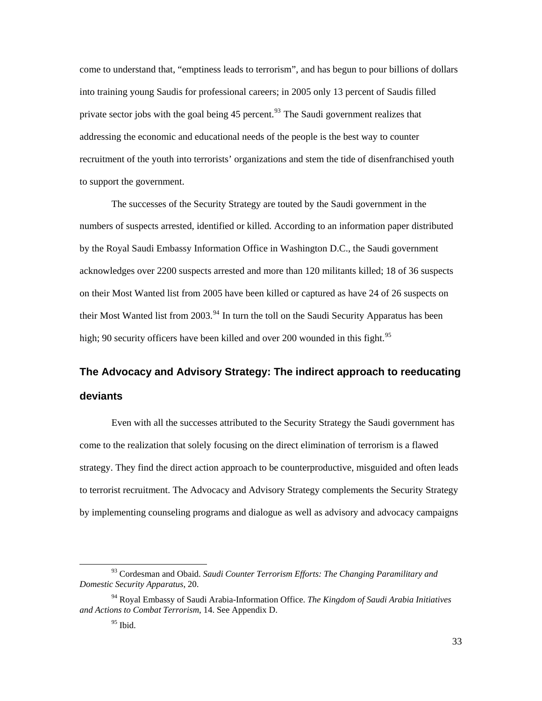<span id="page-37-0"></span>come to understand that, "emptiness leads to terrorism", and has begun to pour billions of dollars into training young Saudis for professional careers; in 2005 only 13 percent of Saudis filled private sector jobs with the goal being  $45$  percent.<sup>[93](#page-37-1)</sup> The Saudi government realizes that addressing the economic and educational needs of the people is the best way to counter recruitment of the youth into terrorists' organizations and stem the tide of disenfranchised youth to support the government.

 The successes of the Security Strategy are touted by the Saudi government in the numbers of suspects arrested, identified or killed. According to an information paper distributed by the Royal Saudi Embassy Information Office in Washington D.C., the Saudi government acknowledges over 2200 suspects arrested and more than 120 militants killed; 18 of 36 suspects on their Most Wanted list from 2005 have been killed or captured as have 24 of 26 suspects on their Most Wanted list from 2003.<sup>[94](#page-37-2)</sup> In turn the toll on the Saudi Security Apparatus has been high; 90 security officers have been killed and over 200 wounded in this fight.<sup>[95](#page-37-3)</sup>

## **The Advocacy and Advisory Strategy: The indirect approach to reeducating deviants**

 Even with all the successes attributed to the Security Strategy the Saudi government has come to the realization that solely focusing on the direct elimination of terrorism is a flawed strategy. They find the direct action approach to be counterproductive, misguided and often leads to terrorist recruitment. The Advocacy and Advisory Strategy complements the Security Strategy by implementing counseling programs and dialogue as well as advisory and advocacy campaigns

<span id="page-37-1"></span><sup>93</sup> Cordesman and Obaid. *Saudi Counter Terrorism Efforts: The Changing Paramilitary and Domestic Security Apparatus*, 20.

<span id="page-37-3"></span><span id="page-37-2"></span><sup>94</sup> Royal Embassy of Saudi Arabia-Information Office. *The Kingdom of Saudi Arabia Initiatives and Actions to Combat Terrorism*, 14. See Appendix D.

 $95$  Ibid.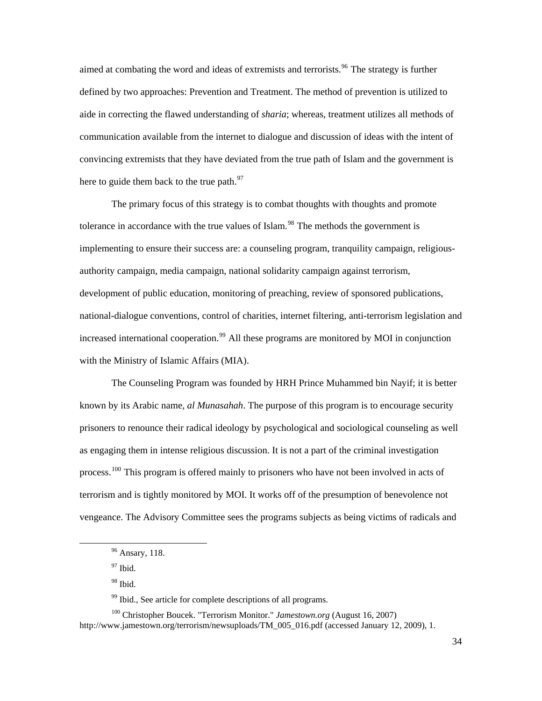aimed at combating the word and ideas of extremists and terrorists.<sup>[96](#page-38-0)</sup> The strategy is further defined by two approaches: Prevention and Treatment. The method of prevention is utilized to aide in correcting the flawed understanding of *sharia*; whereas, treatment utilizes all methods of communication available from the internet to dialogue and discussion of ideas with the intent of convincing extremists that they have deviated from the true path of Islam and the government is here to guide them back to the true path. $97$ 

 The primary focus of this strategy is to combat thoughts with thoughts and promote tolerance in accordance with the true values of Islam.<sup>[98](#page-38-2)</sup> The methods the government is implementing to ensure their success are: a counseling program, tranquility campaign, religiousauthority campaign, media campaign, national solidarity campaign against terrorism, development of public education, monitoring of preaching, review of sponsored publications, national-dialogue conventions, control of charities, internet filtering, anti-terrorism legislation and increased international cooperation.<sup>[99](#page-38-3)</sup> All these programs are monitored by MOI in conjunction with the Ministry of Islamic Affairs (MIA).

 The Counseling Program was founded by HRH Prince Muhammed bin Nayif; it is better known by its Arabic name, *al Munasahah*. The purpose of this program is to encourage security prisoners to renounce their radical ideology by psychological and sociological counseling as well as engaging them in intense religious discussion. It is not a part of the criminal investigation process.<sup>[100](#page-38-4)</sup> This program is offered mainly to prisoners who have not been involved in acts of terrorism and is tightly monitored by MOI. It works off of the presumption of benevolence not vengeance. The Advisory Committee sees the programs subjects as being victims of radicals and

 $97$  Ibid.

<span id="page-38-1"></span><span id="page-38-0"></span>l

<sup>99</sup> Ibid., See article for complete descriptions of all programs.

<sup>&</sup>lt;sup>96</sup> Ansary, 118.

<sup>98</sup> Ibid.

<span id="page-38-4"></span><span id="page-38-3"></span><span id="page-38-2"></span><sup>100</sup> Christopher Boucek. "Terrorism Monitor." *Jamestown.org* (August 16, 2007) http://www.jamestown.org/terrorism/newsuploads/TM\_005\_016.pdf (accessed January 12, 2009), 1.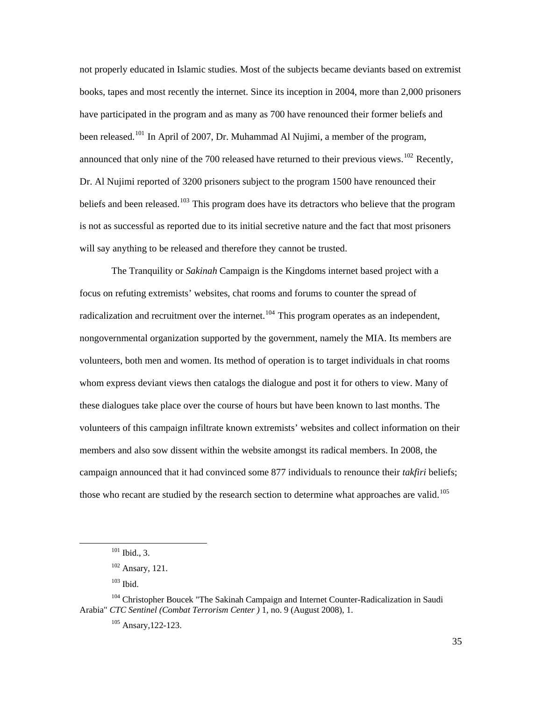not properly educated in Islamic studies. Most of the subjects became deviants based on extremist books, tapes and most recently the internet. Since its inception in 2004, more than 2,000 prisoners have participated in the program and as many as 700 have renounced their former beliefs and been released.<sup>[101](#page-39-0)</sup> In April of 2007, Dr. Muhammad Al Nujimi, a member of the program, announced that only nine of the 700 released have returned to their previous views.<sup>[102](#page-39-1)</sup> Recently, Dr. Al Nujimi reported of 3200 prisoners subject to the program 1500 have renounced their beliefs and been released.<sup>[103](#page-39-2)</sup> This program does have its detractors who believe that the program is not as successful as reported due to its initial secretive nature and the fact that most prisoners will say anything to be released and therefore they cannot be trusted.

 The Tranquility or *Sakinah* Campaign is the Kingdoms internet based project with a focus on refuting extremists' websites, chat rooms and forums to counter the spread of radicalization and recruitment over the internet.<sup>[104](#page-39-3)</sup> This program operates as an independent, nongovernmental organization supported by the government, namely the MIA. Its members are volunteers, both men and women. Its method of operation is to target individuals in chat rooms whom express deviant views then catalogs the dialogue and post it for others to view. Many of these dialogues take place over the course of hours but have been known to last months. The volunteers of this campaign infiltrate known extremists' websites and collect information on their members and also sow dissent within the website amongst its radical members. In 2008, the campaign announced that it had convinced some 877 individuals to renounce their *takfiri* beliefs; those who recant are studied by the research section to determine what approaches are valid.<sup>[105](#page-39-4)</sup>

<sup>101</sup> Ibid., 3.

 $102$  Ansary, 121.

 $103$  Ibid.

<span id="page-39-4"></span><span id="page-39-3"></span><span id="page-39-2"></span><span id="page-39-1"></span><span id="page-39-0"></span><sup>&</sup>lt;sup>104</sup> Christopher Boucek "The Sakinah Campaign and Internet Counter-Radicalization in Saudi Arabia" *CTC Sentinel (Combat Terrorism Center )* 1, no. 9 (August 2008), 1.

 $105$  Ansary, 122-123.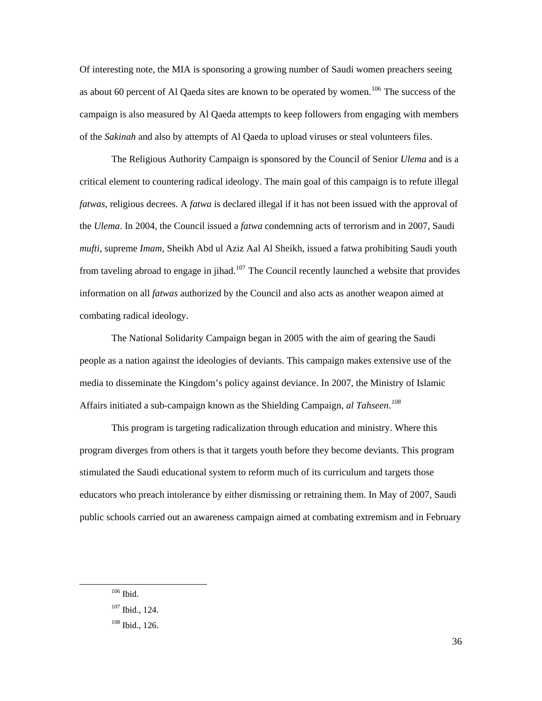Of interesting note, the MIA is sponsoring a growing number of Saudi women preachers seeing as about 60 percent of Al Qaeda sites are known to be operated by women.<sup>[106](#page-40-0)</sup> The success of the campaign is also measured by Al Qaeda attempts to keep followers from engaging with members of the *Sakinah* and also by attempts of Al Qaeda to upload viruses or steal volunteers files.

 The Religious Authority Campaign is sponsored by the Council of Senior *Ulema* and is a critical element to countering radical ideology. The main goal of this campaign is to refute illegal *fatwas*, religious decrees. A *fatwa* is declared illegal if it has not been issued with the approval of the *Ulema*. In 2004, the Council issued a *fatwa* condemning acts of terrorism and in 2007, Saudi *mufti*, supreme *Imam*, Sheikh Abd ul Aziz Aal Al Sheikh, issued a fatwa prohibiting Saudi youth from taveling abroad to engage in jihad.<sup>[107](#page-40-1)</sup> The Council recently launched a website that provides information on all *fatwas* authorized by the Council and also acts as another weapon aimed at combating radical ideology.

 The National Solidarity Campaign began in 2005 with the aim of gearing the Saudi people as a nation against the ideologies of deviants. This campaign makes extensive use of the media to disseminate the Kingdom's policy against deviance. In 2007, the Ministry of Islamic Affairs initiated a sub-campaign known as the Shielding Campaign, *al Tahseen*. *[108](#page-40-2)*

 This program is targeting radicalization through education and ministry. Where this program diverges from others is that it targets youth before they become deviants. This program stimulated the Saudi educational system to reform much of its curriculum and targets those educators who preach intolerance by either dismissing or retraining them. In May of 2007, Saudi public schools carried out an awareness campaign aimed at combating extremism and in February

<span id="page-40-0"></span>106 Ibid.

<span id="page-40-1"></span><sup>107</sup> Ibid., 124.

<span id="page-40-2"></span> $108$  Ibid., 126.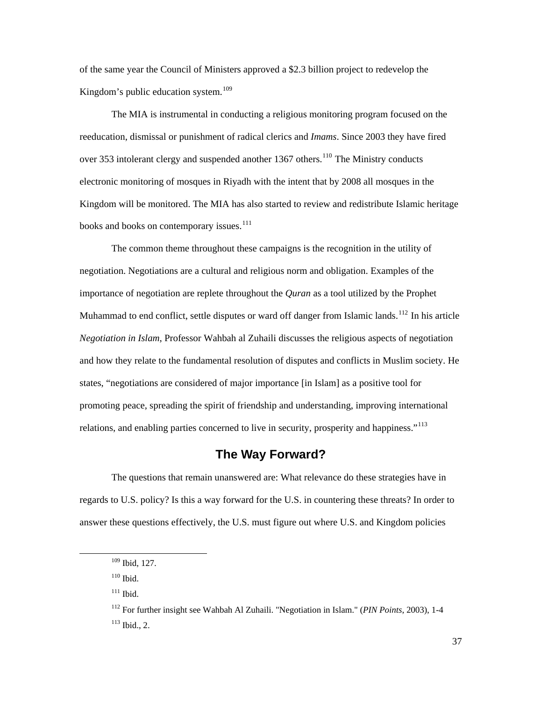<span id="page-41-0"></span>of the same year the Council of Ministers approved a \$2.3 billion project to redevelop the Kingdom's public education system.<sup>[109](#page-41-1)</sup>

 The MIA is instrumental in conducting a religious monitoring program focused on the reeducation, dismissal or punishment of radical clerics and *Imams*. Since 2003 they have fired over 353 intolerant clergy and suspended another 1367 others.<sup>[110](#page-41-2)</sup> The Ministry conducts electronic monitoring of mosques in Riyadh with the intent that by 2008 all mosques in the Kingdom will be monitored. The MIA has also started to review and redistribute Islamic heritage books and books on contemporary issues.<sup>[111](#page-41-3)</sup>

 The common theme throughout these campaigns is the recognition in the utility of negotiation. Negotiations are a cultural and religious norm and obligation. Examples of the importance of negotiation are replete throughout the *Quran* as a tool utilized by the Prophet Muhammad to end conflict, settle disputes or ward off danger from Islamic lands.<sup>[112](#page-41-4)</sup> In his article *Negotiation in Islam*, Professor Wahbah al Zuhaili discusses the religious aspects of negotiation and how they relate to the fundamental resolution of disputes and conflicts in Muslim society. He states, "negotiations are considered of major importance [in Islam] as a positive tool for promoting peace, spreading the spirit of friendship and understanding, improving international relations, and enabling parties concerned to live in security, prosperity and happiness."<sup>[113](#page-41-5)</sup>

### **The Way Forward?**

 The questions that remain unanswered are: What relevance do these strategies have in regards to U.S. policy? Is this a way forward for the U.S. in countering these threats? In order to answer these questions effectively, the U.S. must figure out where U.S. and Kingdom policies

 $110$  Ibid.

<span id="page-41-5"></span><span id="page-41-4"></span><span id="page-41-3"></span><span id="page-41-2"></span><span id="page-41-1"></span>l

 $111$  Ibid.

<sup>109</sup> Ibid, 127.

<sup>112</sup> For further insight see Wahbah Al Zuhaili. "Negotiation in Islam." (*PIN Points*, 2003), 1-4  $113$  Ibid., 2.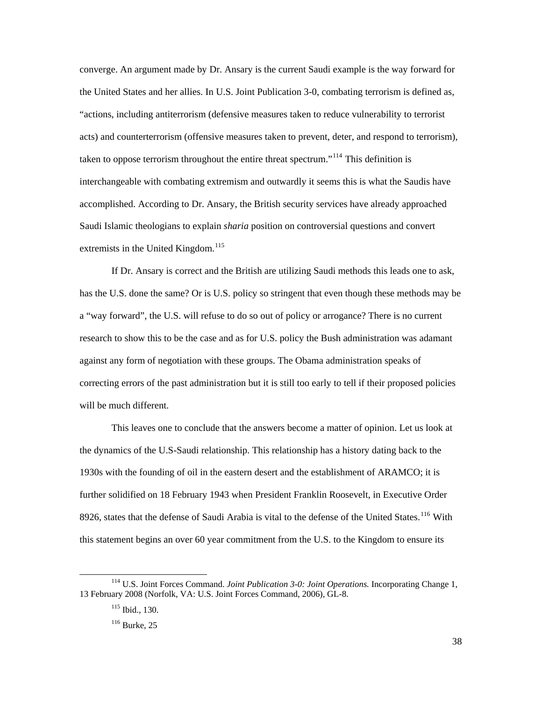converge. An argument made by Dr. Ansary is the current Saudi example is the way forward for the United States and her allies. In U.S. Joint Publication 3-0, combating terrorism is defined as, "actions, including antiterrorism (defensive measures taken to reduce vulnerability to terrorist acts) and counterterrorism (offensive measures taken to prevent, deter, and respond to terrorism), taken to oppose terrorism throughout the entire threat spectrum."<sup>[114](#page-42-0)</sup> This definition is interchangeable with combating extremism and outwardly it seems this is what the Saudis have accomplished. According to Dr. Ansary, the British security services have already approached Saudi Islamic theologians to explain *sharia* position on controversial questions and convert extremists in the United Kingdom. $115$ 

 If Dr. Ansary is correct and the British are utilizing Saudi methods this leads one to ask, has the U.S. done the same? Or is U.S. policy so stringent that even though these methods may be a "way forward", the U.S. will refuse to do so out of policy or arrogance? There is no current research to show this to be the case and as for U.S. policy the Bush administration was adamant against any form of negotiation with these groups. The Obama administration speaks of correcting errors of the past administration but it is still too early to tell if their proposed policies will be much different.

 This leaves one to conclude that the answers become a matter of opinion. Let us look at the dynamics of the U.S-Saudi relationship. This relationship has a history dating back to the 1930s with the founding of oil in the eastern desert and the establishment of ARAMCO; it is further solidified on 18 February 1943 when President Franklin Roosevelt, in Executive Order 8926, states that the defense of Saudi Arabia is vital to the defense of the United States.<sup>[116](#page-42-2)</sup> With this statement begins an over 60 year commitment from the U.S. to the Kingdom to ensure its

<span id="page-42-2"></span><span id="page-42-1"></span><span id="page-42-0"></span><sup>114</sup> U.S. Joint Forces Command. *Joint Publication 3-0: Joint Operations.* Incorporating Change 1, 13 February 2008 (Norfolk, VA: U.S. Joint Forces Command, 2006), GL-8.

<sup>115</sup> Ibid., 130.

<sup>&</sup>lt;sup>116</sup> Burke, 25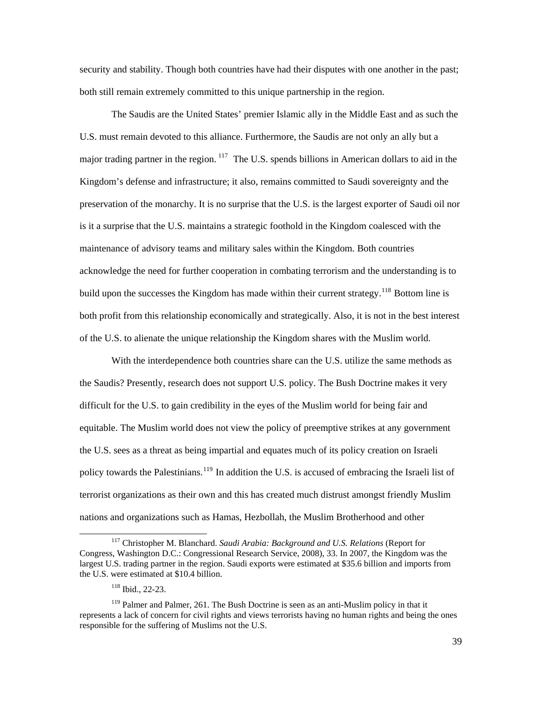security and stability. Though both countries have had their disputes with one another in the past; both still remain extremely committed to this unique partnership in the region.

 The Saudis are the United States' premier Islamic ally in the Middle East and as such the U.S. must remain devoted to this alliance. Furthermore, the Saudis are not only an ally but a major trading partner in the region. <sup>[117](#page-43-0)</sup> The U.S. spends billions in American dollars to aid in the Kingdom's defense and infrastructure; it also, remains committed to Saudi sovereignty and the preservation of the monarchy. It is no surprise that the U.S. is the largest exporter of Saudi oil nor is it a surprise that the U.S. maintains a strategic foothold in the Kingdom coalesced with the maintenance of advisory teams and military sales within the Kingdom. Both countries acknowledge the need for further cooperation in combating terrorism and the understanding is to build upon the successes the Kingdom has made within their current strategy.<sup>[118](#page-43-1)</sup> Bottom line is both profit from this relationship economically and strategically. Also, it is not in the best interest of the U.S. to alienate the unique relationship the Kingdom shares with the Muslim world.

 With the interdependence both countries share can the U.S. utilize the same methods as the Saudis? Presently, research does not support U.S. policy. The Bush Doctrine makes it very difficult for the U.S. to gain credibility in the eyes of the Muslim world for being fair and equitable. The Muslim world does not view the policy of preemptive strikes at any government the U.S. sees as a threat as being impartial and equates much of its policy creation on Israeli policy towards the Palestinians.<sup>[119](#page-43-2)</sup> In addition the U.S. is accused of embracing the Israeli list of terrorist organizations as their own and this has created much distrust amongst friendly Muslim nations and organizations such as Hamas, Hezbollah, the Muslim Brotherhood and other

<span id="page-43-0"></span><sup>&</sup>lt;sup>117</sup> Christopher M. Blanchard. *Saudi Arabia: Background and U.S. Relations* (Report for Congress, Washington D.C.: Congressional Research Service, 2008), 33. In 2007, the Kingdom was the largest U.S. trading partner in the region. Saudi exports were estimated at \$35.6 billion and imports from the U.S. were estimated at \$10.4 billion.

<sup>118</sup> Ibid., 22-23.

<span id="page-43-2"></span><span id="page-43-1"></span><sup>&</sup>lt;sup>119</sup> Palmer and Palmer, 261. The Bush Doctrine is seen as an anti-Muslim policy in that it represents a lack of concern for civil rights and views terrorists having no human rights and being the ones responsible for the suffering of Muslims not the U.S.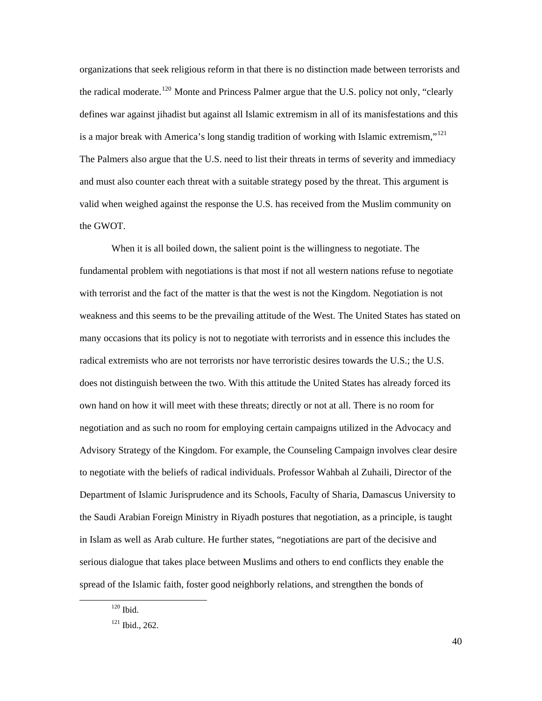organizations that seek religious reform in that there is no distinction made between terrorists and the radical moderate.<sup>[120](#page-44-0)</sup> Monte and Princess Palmer argue that the U.S. policy not only, "clearly defines war against jihadist but against all Islamic extremism in all of its manisfestations and this is a major break with America's long standig tradition of working with Islamic extremism,"<sup>[121](#page-44-1)</sup> The Palmers also argue that the U.S. need to list their threats in terms of severity and immediacy and must also counter each threat with a suitable strategy posed by the threat. This argument is valid when weighed against the response the U.S. has received from the Muslim community on the GWOT.

 When it is all boiled down, the salient point is the willingness to negotiate. The fundamental problem with negotiations is that most if not all western nations refuse to negotiate with terrorist and the fact of the matter is that the west is not the Kingdom. Negotiation is not weakness and this seems to be the prevailing attitude of the West. The United States has stated on many occasions that its policy is not to negotiate with terrorists and in essence this includes the radical extremists who are not terrorists nor have terroristic desires towards the U.S.; the U.S. does not distinguish between the two. With this attitude the United States has already forced its own hand on how it will meet with these threats; directly or not at all. There is no room for negotiation and as such no room for employing certain campaigns utilized in the Advocacy and Advisory Strategy of the Kingdom. For example, the Counseling Campaign involves clear desire to negotiate with the beliefs of radical individuals. Professor Wahbah al Zuhaili, Director of the Department of Islamic Jurisprudence and its Schools, Faculty of Sharia, Damascus University to the Saudi Arabian Foreign Ministry in Riyadh postures that negotiation, as a principle, is taught in Islam as well as Arab culture. He further states, "negotiations are part of the decisive and serious dialogue that takes place between Muslims and others to end conflicts they enable the spread of the Islamic faith, foster good neighborly relations, and strengthen the bonds of

<span id="page-44-0"></span> $120$  Ibid.

<span id="page-44-1"></span> $121$  Ibid., 262.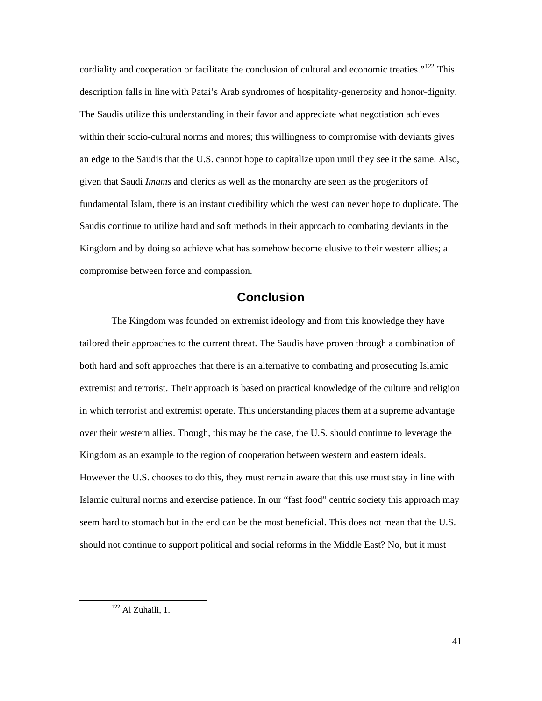<span id="page-45-0"></span>cordiality and cooperation or facilitate the conclusion of cultural and economic treaties."<sup>[122](#page-45-1)</sup> This description falls in line with Patai's Arab syndromes of hospitality-generosity and honor-dignity. The Saudis utilize this understanding in their favor and appreciate what negotiation achieves within their socio-cultural norms and mores; this willingness to compromise with deviants gives an edge to the Saudis that the U.S. cannot hope to capitalize upon until they see it the same. Also, given that Saudi *Imams* and clerics as well as the monarchy are seen as the progenitors of fundamental Islam, there is an instant credibility which the west can never hope to duplicate. The Saudis continue to utilize hard and soft methods in their approach to combating deviants in the Kingdom and by doing so achieve what has somehow become elusive to their western allies; a compromise between force and compassion.

#### **Conclusion**

 The Kingdom was founded on extremist ideology and from this knowledge they have tailored their approaches to the current threat. The Saudis have proven through a combination of both hard and soft approaches that there is an alternative to combating and prosecuting Islamic extremist and terrorist. Their approach is based on practical knowledge of the culture and religion in which terrorist and extremist operate. This understanding places them at a supreme advantage over their western allies. Though, this may be the case, the U.S. should continue to leverage the Kingdom as an example to the region of cooperation between western and eastern ideals. However the U.S. chooses to do this, they must remain aware that this use must stay in line with Islamic cultural norms and exercise patience. In our "fast food" centric society this approach may seem hard to stomach but in the end can be the most beneficial. This does not mean that the U.S. should not continue to support political and social reforms in the Middle East? No, but it must

<span id="page-45-1"></span> $122$  Al Zuhaili, 1.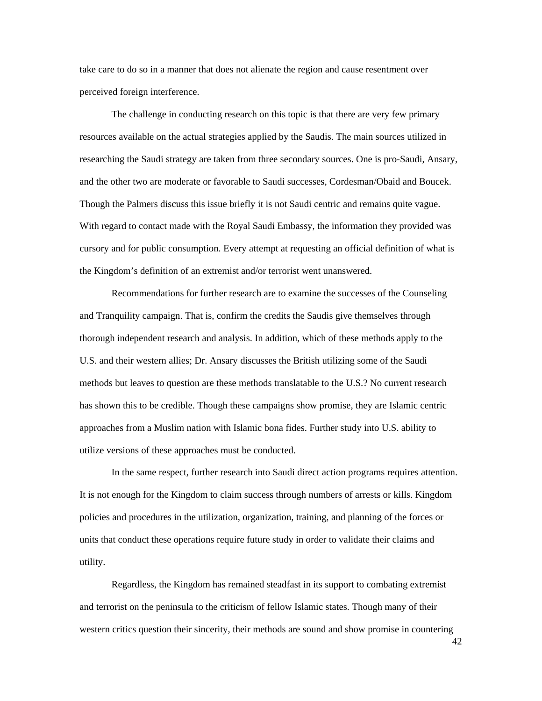take care to do so in a manner that does not alienate the region and cause resentment over perceived foreign interference.

 The challenge in conducting research on this topic is that there are very few primary resources available on the actual strategies applied by the Saudis. The main sources utilized in researching the Saudi strategy are taken from three secondary sources. One is pro-Saudi, Ansary, and the other two are moderate or favorable to Saudi successes, Cordesman/Obaid and Boucek. Though the Palmers discuss this issue briefly it is not Saudi centric and remains quite vague. With regard to contact made with the Royal Saudi Embassy, the information they provided was cursory and for public consumption. Every attempt at requesting an official definition of what is the Kingdom's definition of an extremist and/or terrorist went unanswered.

 Recommendations for further research are to examine the successes of the Counseling and Tranquility campaign. That is, confirm the credits the Saudis give themselves through thorough independent research and analysis. In addition, which of these methods apply to the U.S. and their western allies; Dr. Ansary discusses the British utilizing some of the Saudi methods but leaves to question are these methods translatable to the U.S.? No current research has shown this to be credible. Though these campaigns show promise, they are Islamic centric approaches from a Muslim nation with Islamic bona fides. Further study into U.S. ability to utilize versions of these approaches must be conducted.

 In the same respect, further research into Saudi direct action programs requires attention. It is not enough for the Kingdom to claim success through numbers of arrests or kills. Kingdom policies and procedures in the utilization, organization, training, and planning of the forces or units that conduct these operations require future study in order to validate their claims and utility.

 Regardless, the Kingdom has remained steadfast in its support to combating extremist and terrorist on the peninsula to the criticism of fellow Islamic states. Though many of their western critics question their sincerity, their methods are sound and show promise in countering

42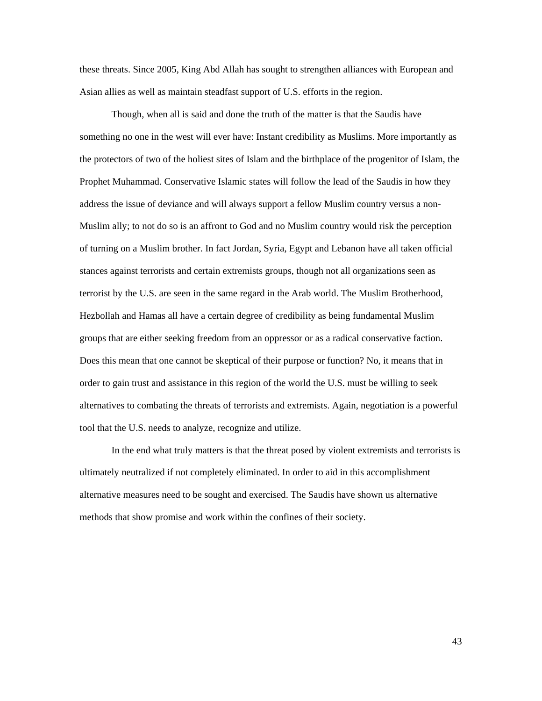these threats. Since 2005, King Abd Allah has sought to strengthen alliances with European and Asian allies as well as maintain steadfast support of U.S. efforts in the region.

 Though, when all is said and done the truth of the matter is that the Saudis have something no one in the west will ever have: Instant credibility as Muslims. More importantly as the protectors of two of the holiest sites of Islam and the birthplace of the progenitor of Islam, the Prophet Muhammad. Conservative Islamic states will follow the lead of the Saudis in how they address the issue of deviance and will always support a fellow Muslim country versus a non-Muslim ally; to not do so is an affront to God and no Muslim country would risk the perception of turning on a Muslim brother. In fact Jordan, Syria, Egypt and Lebanon have all taken official stances against terrorists and certain extremists groups, though not all organizations seen as terrorist by the U.S. are seen in the same regard in the Arab world. The Muslim Brotherhood, Hezbollah and Hamas all have a certain degree of credibility as being fundamental Muslim groups that are either seeking freedom from an oppressor or as a radical conservative faction. Does this mean that one cannot be skeptical of their purpose or function? No, it means that in order to gain trust and assistance in this region of the world the U.S. must be willing to seek alternatives to combating the threats of terrorists and extremists. Again, negotiation is a powerful tool that the U.S. needs to analyze, recognize and utilize.

 In the end what truly matters is that the threat posed by violent extremists and terrorists is ultimately neutralized if not completely eliminated. In order to aid in this accomplishment alternative measures need to be sought and exercised. The Saudis have shown us alternative methods that show promise and work within the confines of their society.

43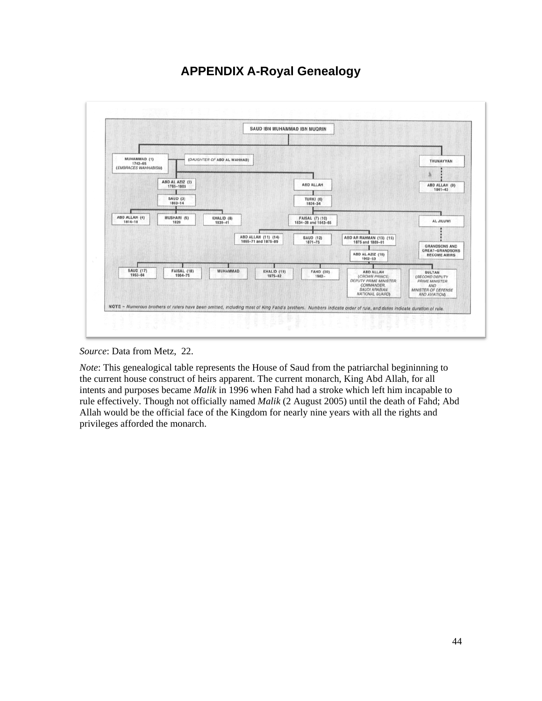## **APPENDIX A-Royal Genealogy**

<span id="page-48-0"></span>

*Source*: Data from Metz, 22.

*Note*: This genealogical table represents the House of Saud from the patriarchal begininning to the current house construct of heirs apparent. The current monarch, King Abd Allah, for all intents and purposes became *Malik* in 1996 when Fahd had a stroke which left him incapable to rule effectively. Though not officially named *Malik* (2 August 2005) until the death of Fahd; Abd Allah would be the official face of the Kingdom for nearly nine years with all the rights and privileges afforded the monarch.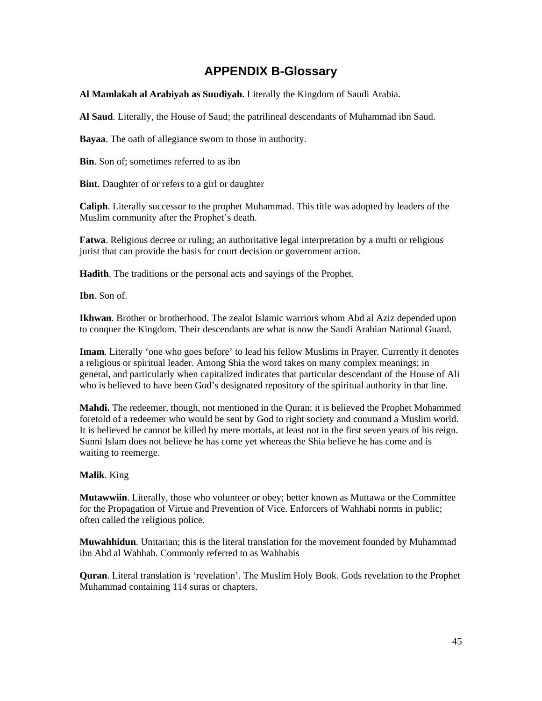## **APPENDIX B-Glossary**

<span id="page-49-0"></span>**Al Mamlakah al Arabiyah as Suudiyah**. Literally the Kingdom of Saudi Arabia.

**Al Saud**. Literally, the House of Saud; the patrilineal descendants of Muhammad ibn Saud.

**Bayaa**. The oath of allegiance sworn to those in authority.

**Bin**. Son of; sometimes referred to as ibn

**Bint**. Daughter of or refers to a girl or daughter

**Caliph**. Literally successor to the prophet Muhammad. This title was adopted by leaders of the Muslim community after the Prophet's death.

**Fatwa**. Religious decree or ruling; an authoritative legal interpretation by a mufti or religious jurist that can provide the basis for court decision or government action.

**Hadith**. The traditions or the personal acts and sayings of the Prophet.

**Ibn**. Son of.

**Ikhwan**. Brother or brotherhood. The zealot Islamic warriors whom Abd al Aziz depended upon to conquer the Kingdom. Their descendants are what is now the Saudi Arabian National Guard.

**Imam**. Literally 'one who goes before' to lead his fellow Muslims in Prayer. Currently it denotes a religious or spiritual leader. Among Shia the word takes on many complex meanings; in general, and particularly when capitalized indicates that particular descendant of the House of Ali who is believed to have been God's designated repository of the spiritual authority in that line.

**Mahdi.** The redeemer, though, not mentioned in the Quran; it is believed the Prophet Mohammed foretold of a redeemer who would be sent by God to right society and command a Muslim world. It is believed he cannot be killed by mere mortals, at least not in the first seven years of his reign. Sunni Islam does not believe he has come yet whereas the Shia believe he has come and is waiting to reemerge.

#### **Malik**. King

**Mutawwiin**. Literally, those who volunteer or obey; better known as Muttawa or the Committee for the Propagation of Virtue and Prevention of Vice. Enforcers of Wahhabi norms in public; often called the religious police.

**Muwahhidun**. Unitarian; this is the literal translation for the movement founded by Muhammad ibn Abd al Wahhab. Commonly referred to as Wahhabis

**Quran**. Literal translation is 'revelation'. The Muslim Holy Book. Gods revelation to the Prophet Muhammad containing 114 suras or chapters.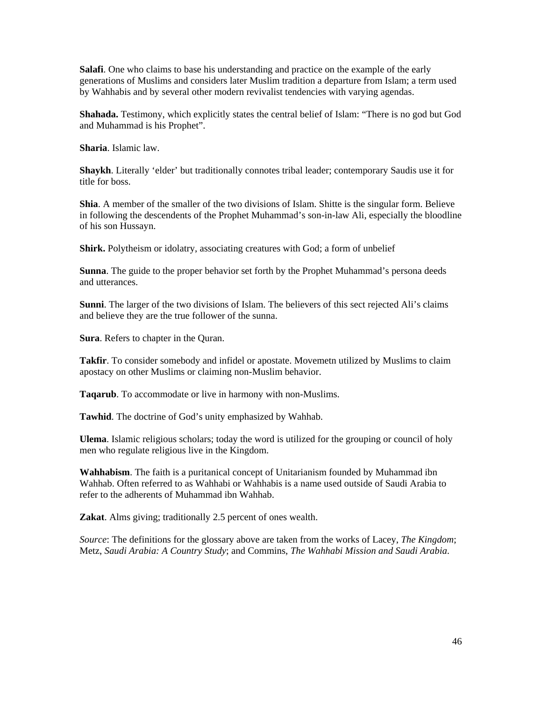**Salafi**. One who claims to base his understanding and practice on the example of the early generations of Muslims and considers later Muslim tradition a departure from Islam; a term used by Wahhabis and by several other modern revivalist tendencies with varying agendas.

**Shahada.** Testimony, which explicitly states the central belief of Islam: "There is no god but God and Muhammad is his Prophet".

**Sharia**. Islamic law.

**Shaykh**. Literally 'elder' but traditionally connotes tribal leader; contemporary Saudis use it for title for boss.

**Shia**. A member of the smaller of the two divisions of Islam. Shitte is the singular form. Believe in following the descendents of the Prophet Muhammad's son-in-law Ali, especially the bloodline of his son Hussayn.

**Shirk.** Polytheism or idolatry, associating creatures with God; a form of unbelief

**Sunna**. The guide to the proper behavior set forth by the Prophet Muhammad's persona deeds and utterances.

**Sunni**. The larger of the two divisions of Islam. The believers of this sect rejected Ali's claims and believe they are the true follower of the sunna.

**Sura**. Refers to chapter in the Quran.

Takfir. To consider somebody and infidel or apostate. Movemetn utilized by Muslims to claim apostacy on other Muslims or claiming non-Muslim behavior.

**Taqarub**. To accommodate or live in harmony with non-Muslims.

**Tawhid**. The doctrine of God's unity emphasized by Wahhab.

**Ulema**. Islamic religious scholars; today the word is utilized for the grouping or council of holy men who regulate religious live in the Kingdom.

**Wahhabism**. The faith is a puritanical concept of Unitarianism founded by Muhammad ibn Wahhab. Often referred to as Wahhabi or Wahhabis is a name used outside of Saudi Arabia to refer to the adherents of Muhammad ibn Wahhab.

**Zakat**. Alms giving; traditionally 2.5 percent of ones wealth.

*Source*: The definitions for the glossary above are taken from the works of Lacey, *The Kingdom*; Metz, *Saudi Arabia: A Country Study*; and Commins, *The Wahhabi Mission and Saudi Arabia*.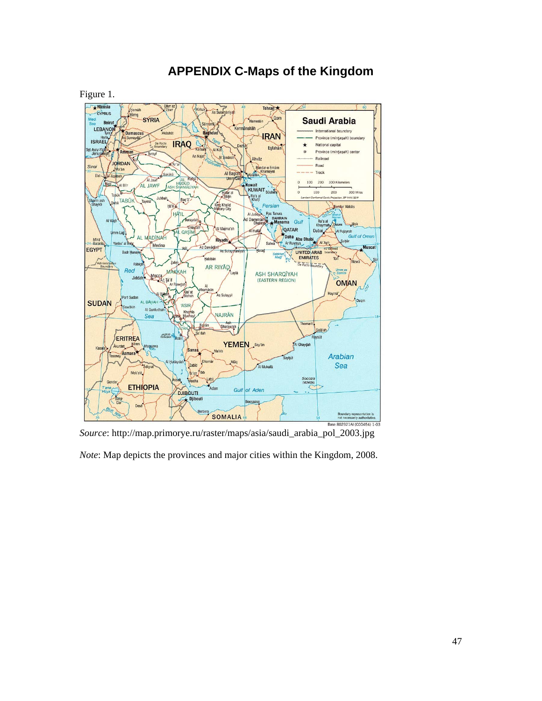<span id="page-51-0"></span>

## **APPENDIX C-Maps of the Kingdom**

*Source*: http://map.primorye.ru/raster/maps/asia/saudi\_arabia\_pol\_2003.jpg

*Note*: Map depicts the provinces and major cities within the Kingdom, 2008.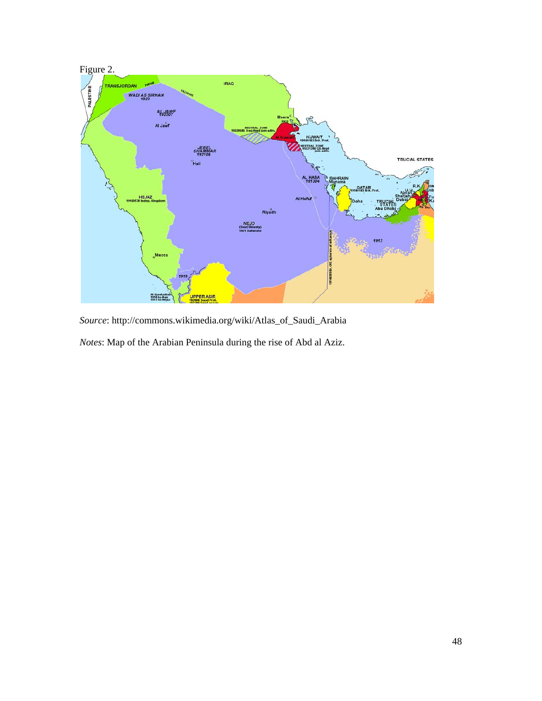

*Source*: http://commons.wikimedia.org/wiki/Atlas\_of\_Saudi\_Arabia

*Notes*: Map of the Arabian Peninsula during the rise of Abd al Aziz.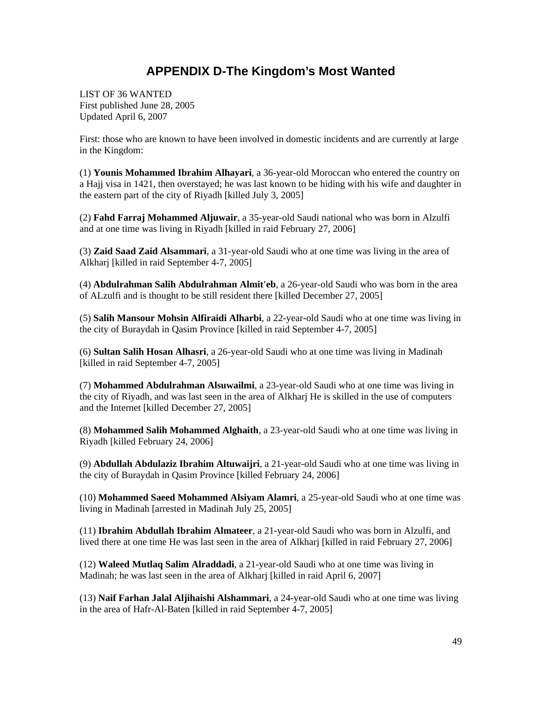## **APPENDIX D-The Kingdom's Most Wanted**

<span id="page-53-0"></span>LIST OF 36 WANTED First published June 28, 2005 Updated April 6, 2007

First: those who are known to have been involved in domestic incidents and are currently at large in the Kingdom:

(1) **Younis Mohammed Ibrahim Alhayari**, a 36-year-old Moroccan who entered the country on a Hajj visa in 1421, then overstayed; he was last known to be hiding with his wife and daughter in the eastern part of the city of Riyadh [killed July 3, 2005]

(2) **Fahd Farraj Mohammed Aljuwair**, a 35-year-old Saudi national who was born in Alzulfi and at one time was living in Riyadh [killed in raid February 27, 2006]

(3) **Zaid Saad Zaid Alsammari**, a 31-year-old Saudi who at one time was living in the area of Alkharj [killed in raid September 4-7, 2005]

(4) **Abdulrahman Salih Abdulrahman Almit'eb**, a 26-year-old Saudi who was born in the area of ALzulfi and is thought to be still resident there [killed December 27, 2005]

(5) **Salih Mansour Mohsin Alfiraidi Alharbi**, a 22-year-old Saudi who at one time was living in the city of Buraydah in Qasim Province [killed in raid September 4-7, 2005]

(6) **Sultan Salih Hosan Alhasri**, a 26-year-old Saudi who at one time was living in Madinah [killed in raid September 4-7, 2005]

(7) **Mohammed Abdulrahman Alsuwailmi**, a 23-year-old Saudi who at one time was living in the city of Riyadh, and was last seen in the area of Alkharj He is skilled in the use of computers and the Internet [killed December 27, 2005]

(8) **Mohammed Salih Mohammed Alghaith**, a 23-year-old Saudi who at one time was living in Riyadh [killed February 24, 2006]

(9) **Abdullah Abdulaziz Ibrahim Altuwaijri**, a 21-year-old Saudi who at one time was living in the city of Buraydah in Qasim Province [killed February 24, 2006]

(10) **Mohammed Saeed Mohammed Alsiyam Alamri**, a 25-year-old Saudi who at one time was living in Madinah [arrested in Madinah July 25, 2005]

(11) **Ibrahim Abdullah Ibrahim Almateer**, a 21-year-old Saudi who was born in Alzulfi, and lived there at one time He was last seen in the area of Alkharj [killed in raid February 27, 2006]

(12) **Waleed Mutlaq Salim Alraddadi**, a 21-year-old Saudi who at one time was living in Madinah; he was last seen in the area of Alkharj [killed in raid April 6, 2007]

(13) **Naif Farhan Jalal Aljihaishi Alshammari**, a 24-year-old Saudi who at one time was living in the area of Hafr-Al-Baten [killed in raid September 4-7, 2005]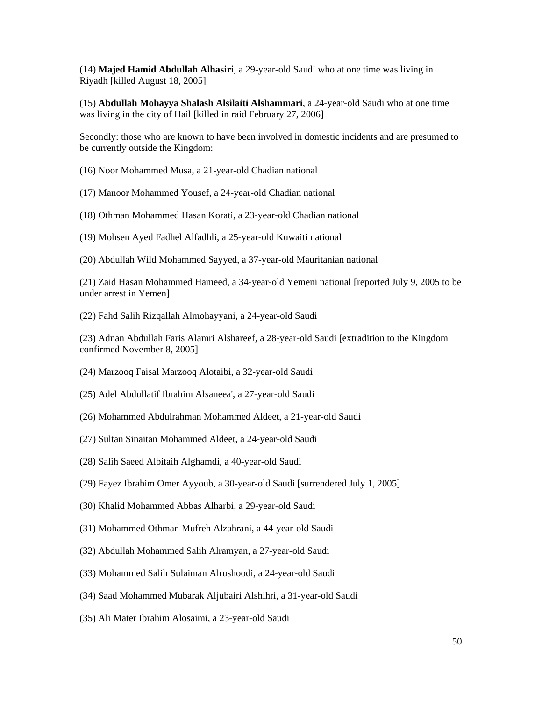(14) **Majed Hamid Abdullah Alhasiri**, a 29-year-old Saudi who at one time was living in Riyadh [killed August 18, 2005]

(15) **Abdullah Mohayya Shalash Alsilaiti Alshammari**, a 24-year-old Saudi who at one time was living in the city of Hail [killed in raid February 27, 2006]

Secondly: those who are known to have been involved in domestic incidents and are presumed to be currently outside the Kingdom:

(16) Noor Mohammed Musa, a 21-year-old Chadian national

(17) Manoor Mohammed Yousef, a 24-year-old Chadian national

(18) Othman Mohammed Hasan Korati, a 23-year-old Chadian national

(19) Mohsen Ayed Fadhel Alfadhli, a 25-year-old Kuwaiti national

(20) Abdullah Wild Mohammed Sayyed, a 37-year-old Mauritanian national

(21) Zaid Hasan Mohammed Hameed, a 34-year-old Yemeni national [reported July 9, 2005 to be under arrest in Yemen]

(22) Fahd Salih Rizqallah Almohayyani, a 24-year-old Saudi

(23) Adnan Abdullah Faris Alamri Alshareef, a 28-year-old Saudi [extradition to the Kingdom confirmed November 8, 2005]

- (24) Marzooq Faisal Marzooq Alotaibi, a 32-year-old Saudi
- (25) Adel Abdullatif Ibrahim Alsaneea', a 27-year-old Saudi
- (26) Mohammed Abdulrahman Mohammed Aldeet, a 21-year-old Saudi
- (27) Sultan Sinaitan Mohammed Aldeet, a 24-year-old Saudi
- (28) Salih Saeed Albitaih Alghamdi, a 40-year-old Saudi
- (29) Fayez Ibrahim Omer Ayyoub, a 30-year-old Saudi [surrendered July 1, 2005]
- (30) Khalid Mohammed Abbas Alharbi, a 29-year-old Saudi
- (31) Mohammed Othman Mufreh Alzahrani, a 44-year-old Saudi
- (32) Abdullah Mohammed Salih Alramyan, a 27-year-old Saudi
- (33) Mohammed Salih Sulaiman Alrushoodi, a 24-year-old Saudi
- (34) Saad Mohammed Mubarak Aljubairi Alshihri, a 31-year-old Saudi
- (35) Ali Mater Ibrahim Alosaimi, a 23-year-old Saudi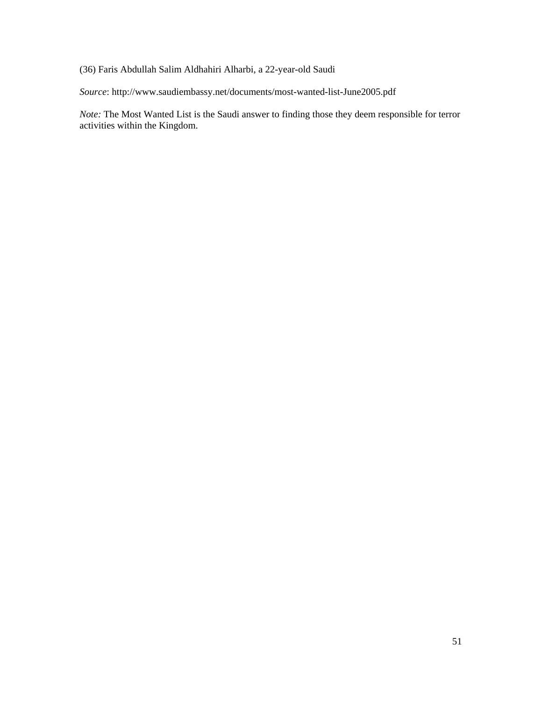(36) Faris Abdullah Salim Aldhahiri Alharbi, a 22-year-old Saudi

*Source*: http://www.saudiembassy.net/documents/most-wanted-list-June2005.pdf

*Note:* The Most Wanted List is the Saudi answer to finding those they deem responsible for terror activities within the Kingdom.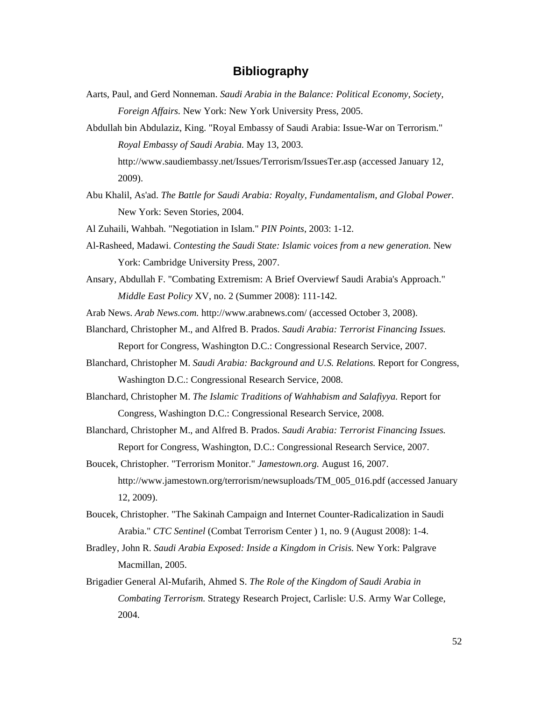### **Bibliography**

<span id="page-56-0"></span>Aarts, Paul, and Gerd Nonneman. *Saudi Arabia in the Balance: Political Economy, Society, Foreign Affairs.* New York: New York University Press, 2005.

Abdullah bin Abdulaziz, King. "Royal Embassy of Saudi Arabia: Issue-War on Terrorism." *Royal Embassy of Saudi Arabia.* May 13, 2003. http://www.saudiembassy.net/Issues/Terrorism/IssuesTer.asp (accessed January 12, 2009).

Abu Khalil, As'ad. *The Battle for Saudi Arabia: Royalty, Fundamentalism, and Global Power.* New York: Seven Stories, 2004.

Al Zuhaili, Wahbah. "Negotiation in Islam." *PIN Points*, 2003: 1-12.

- Al-Rasheed, Madawi. *Contesting the Saudi State: Islamic voices from a new generation.* New York: Cambridge University Press, 2007.
- Ansary, Abdullah F. "Combating Extremism: A Brief Overviewf Saudi Arabia's Approach." *Middle East Policy* XV, no. 2 (Summer 2008): 111-142.

Arab News. *Arab News.com.* http://www.arabnews.com/ (accessed October 3, 2008).

- Blanchard, Christopher M., and Alfred B. Prados. *Saudi Arabia: Terrorist Financing Issues.* Report for Congress, Washington D.C.: Congressional Research Service, 2007.
- Blanchard, Christopher M. *Saudi Arabia: Background and U.S. Relations.* Report for Congress, Washington D.C.: Congressional Research Service, 2008.
- Blanchard, Christopher M. *The Islamic Traditions of Wahhabism and Salafiyya.* Report for Congress, Washington D.C.: Congressional Research Service, 2008.

Blanchard, Christopher M., and Alfred B. Prados. *Saudi Arabia: Terrorist Financing Issues.* Report for Congress, Washington, D.C.: Congressional Research Service, 2007.

- Boucek, Christopher. "Terrorism Monitor." *Jamestown.org.* August 16, 2007. http://www.jamestown.org/terrorism/newsuploads/TM\_005\_016.pdf (accessed January 12, 2009).
- Boucek, Christopher. "The Sakinah Campaign and Internet Counter-Radicalization in Saudi Arabia." *CTC Sentinel* (Combat Terrorism Center ) 1, no. 9 (August 2008): 1-4.
- Bradley, John R. *Saudi Arabia Exposed: Inside a Kingdom in Crisis.* New York: Palgrave Macmillan, 2005.
- Brigadier General Al-Mufarih, Ahmed S. *The Role of the Kingdom of Saudi Arabia in Combating Terrorism.* Strategy Research Project, Carlisle: U.S. Army War College, 2004.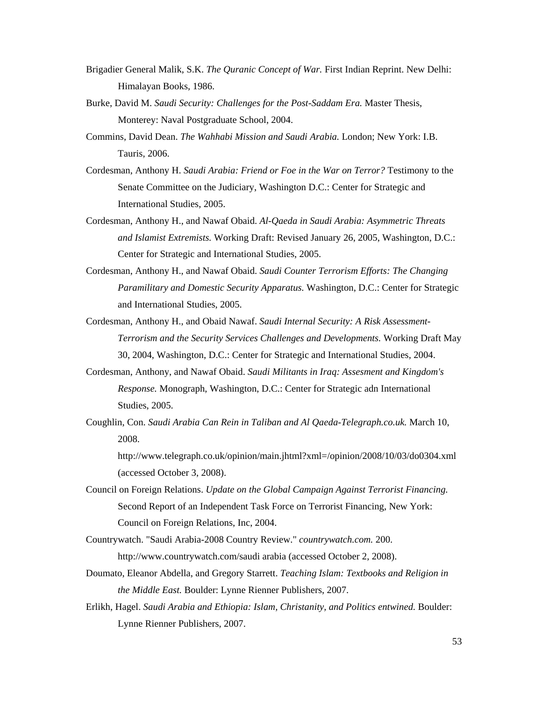- Brigadier General Malik, S.K. *The Quranic Concept of War.* First Indian Reprint. New Delhi: Himalayan Books, 1986.
- Burke, David M. *Saudi Security: Challenges for the Post-Saddam Era.* Master Thesis, Monterey: Naval Postgraduate School, 2004.
- Commins, David Dean. *The Wahhabi Mission and Saudi Arabia.* London; New York: I.B. Tauris, 2006.
- Cordesman, Anthony H. *Saudi Arabia: Friend or Foe in the War on Terror?* Testimony to the Senate Committee on the Judiciary, Washington D.C.: Center for Strategic and International Studies, 2005.
- Cordesman, Anthony H., and Nawaf Obaid. *Al-Qaeda in Saudi Arabia: Asymmetric Threats and Islamist Extremists.* Working Draft: Revised January 26, 2005, Washington, D.C.: Center for Strategic and International Studies, 2005.
- Cordesman, Anthony H., and Nawaf Obaid. *Saudi Counter Terrorism Efforts: The Changing Paramilitary and Domestic Security Apparatus.* Washington, D.C.: Center for Strategic and International Studies, 2005.
- Cordesman, Anthony H., and Obaid Nawaf. *Saudi Internal Security: A Risk Assessment-Terrorism and the Security Services Challenges and Developments.* Working Draft May 30, 2004, Washington, D.C.: Center for Strategic and International Studies, 2004.
- Cordesman, Anthony, and Nawaf Obaid. *Saudi Militants in Iraq: Assesment and Kingdom's Response.* Monograph, Washington, D.C.: Center for Strategic adn International Studies, 2005.
- Coughlin, Con. *Saudi Arabia Can Rein in Taliban and Al Qaeda-Telegraph.co.uk.* March 10, 2008.

http://www.telegraph.co.uk/opinion/main.jhtml?xml=/opinion/2008/10/03/do0304.xml (accessed October 3, 2008).

- Council on Foreign Relations. *Update on the Global Campaign Against Terrorist Financing.* Second Report of an Independent Task Force on Terrorist Financing, New York: Council on Foreign Relations, Inc, 2004.
- Countrywatch. "Saudi Arabia-2008 Country Review." *countrywatch.com.* 200. http://www.countrywatch.com/saudi arabia (accessed October 2, 2008).
- Doumato, Eleanor Abdella, and Gregory Starrett. *Teaching Islam: Textbooks and Religion in the Middle East.* Boulder: Lynne Rienner Publishers, 2007.
- Erlikh, Hagel. *Saudi Arabia and Ethiopia: Islam, Christanity, and Politics entwined.* Boulder: Lynne Rienner Publishers, 2007.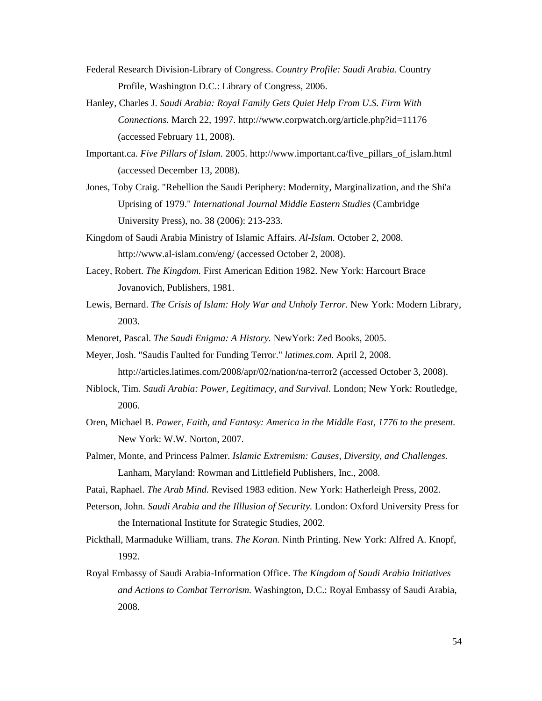- Federal Research Division-Library of Congress. *Country Profile: Saudi Arabia.* Country Profile, Washington D.C.: Library of Congress, 2006.
- Hanley, Charles J. *Saudi Arabia: Royal Family Gets Quiet Help From U.S. Firm With Connections.* March 22, 1997. http://www.corpwatch.org/article.php?id=11176 (accessed February 11, 2008).
- Important.ca. *Five Pillars of Islam.* 2005. http://www.important.ca/five\_pillars\_of\_islam.html (accessed December 13, 2008).
- Jones, Toby Craig. "Rebellion the Saudi Periphery: Modernity, Marginalization, and the Shi'a Uprising of 1979." *International Journal Middle Eastern Studies* (Cambridge University Press), no. 38 (2006): 213-233.
- Kingdom of Saudi Arabia Ministry of Islamic Affairs. *Al-Islam.* October 2, 2008. http://www.al-islam.com/eng/ (accessed October 2, 2008).
- Lacey, Robert. *The Kingdom.* First American Edition 1982. New York: Harcourt Brace Jovanovich, Publishers, 1981.
- Lewis, Bernard. *The Crisis of Islam: Holy War and Unholy Terror.* New York: Modern Library, 2003.
- Menoret, Pascal. *The Saudi Enigma: A History.* NewYork: Zed Books, 2005.
- Meyer, Josh. "Saudis Faulted for Funding Terror." *latimes.com.* April 2, 2008. http://articles.latimes.com/2008/apr/02/nation/na-terror2 (accessed October 3, 2008).
- Niblock, Tim. *Saudi Arabia: Power, Legitimacy, and Survival.* London; New York: Routledge, 2006.
- Oren, Michael B. *Power, Faith, and Fantasy: America in the Middle East, 1776 to the present.* New York: W.W. Norton, 2007.
- Palmer, Monte, and Princess Palmer. *Islamic Extremism: Causes, Diversity, and Challenges.* Lanham, Maryland: Rowman and Littlefield Publishers, Inc., 2008.
- Patai, Raphael. *The Arab Mind.* Revised 1983 edition. New York: Hatherleigh Press, 2002.
- Peterson, John. *Saudi Arabia and the Illlusion of Security.* London: Oxford University Press for the International Institute for Strategic Studies, 2002.
- Pickthall, Marmaduke William, trans. *The Koran.* Ninth Printing. New York: Alfred A. Knopf, 1992.
- Royal Embassy of Saudi Arabia-Information Office. *The Kingdom of Saudi Arabia Initiatives and Actions to Combat Terrorism.* Washington, D.C.: Royal Embassy of Saudi Arabia, 2008.